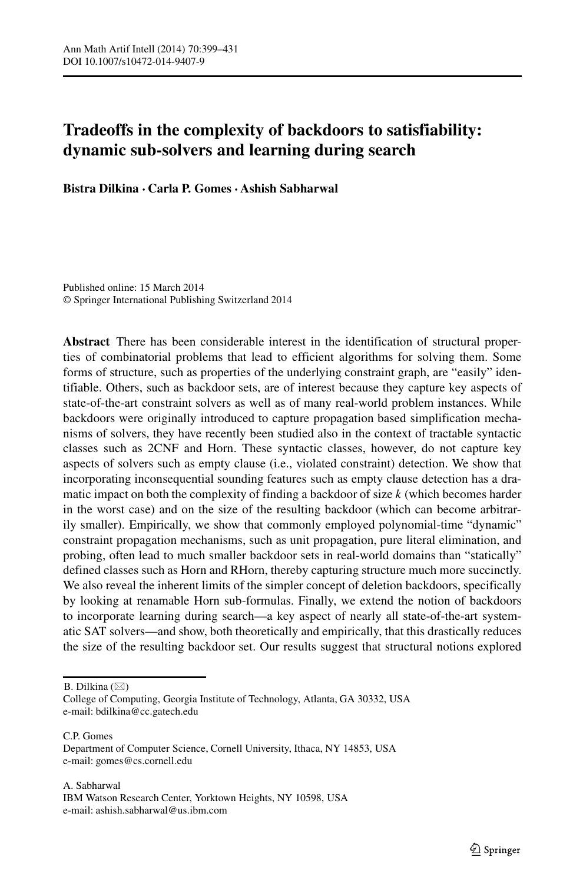# **Tradeoffs in the complexity of backdoors to satisfiability: dynamic sub-solvers and learning during search**

**Bistra Dilkina · Carla P. Gomes · Ashish Sabharwal**

Published online: 15 March 2014 © Springer International Publishing Switzerland 2014

**Abstract** There has been considerable interest in the identification of structural properties of combinatorial problems that lead to efficient algorithms for solving them. Some forms of structure, such as properties of the underlying constraint graph, are "easily" identifiable. Others, such as backdoor sets, are of interest because they capture key aspects of state-of-the-art constraint solvers as well as of many real-world problem instances. While backdoors were originally introduced to capture propagation based simplification mechanisms of solvers, they have recently been studied also in the context of tractable syntactic classes such as 2CNF and Horn. These syntactic classes, however, do not capture key aspects of solvers such as empty clause (i.e., violated constraint) detection. We show that incorporating inconsequential sounding features such as empty clause detection has a dramatic impact on both the complexity of finding a backdoor of size  $k$  (which becomes harder in the worst case) and on the size of the resulting backdoor (which can become arbitrarily smaller). Empirically, we show that commonly employed polynomial-time "dynamic" constraint propagation mechanisms, such as unit propagation, pure literal elimination, and probing, often lead to much smaller backdoor sets in real-world domains than "statically" defined classes such as Horn and RHorn, thereby capturing structure much more succinctly. We also reveal the inherent limits of the simpler concept of deletion backdoors, specifically by looking at renamable Horn sub-formulas. Finally, we extend the notion of backdoors to incorporate learning during search—a key aspect of nearly all state-of-the-art systematic SAT solvers—and show, both theoretically and empirically, that this drastically reduces the size of the resulting backdoor set. Our results suggest that structural notions explored

B. Dilkina  $(\boxtimes)$ 

C.P. Gomes Department of Computer Science, Cornell University, Ithaca, NY 14853, USA e-mail: [gomes@cs.cornell.edu](mailto:gomes@cs.cornell.edu)

College of Computing, Georgia Institute of Technology, Atlanta, GA 30332, USA e-mail: [bdilkina@cc.gatech.edu](mailto:bdilkina@cc.gatech.edu)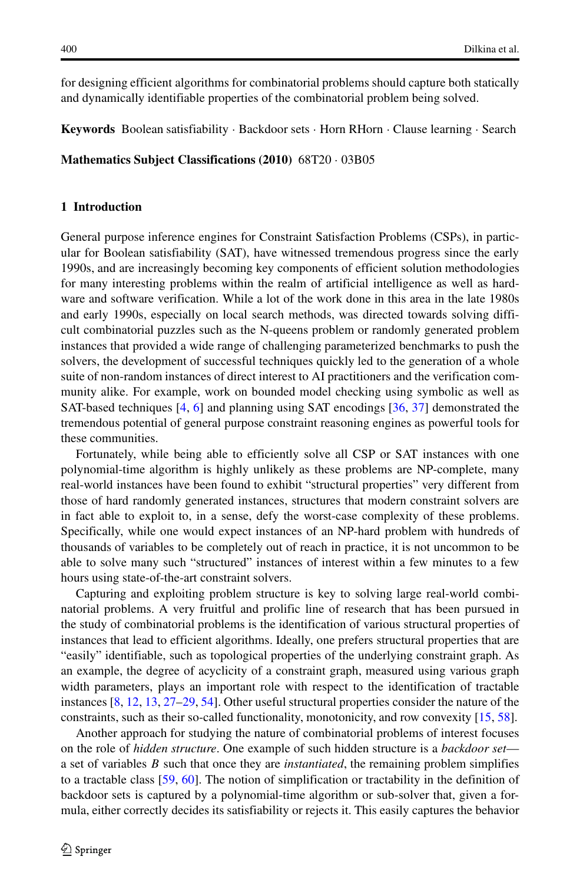for designing efficient algorithms for combinatorial problems should capture both statically and dynamically identifiable properties of the combinatorial problem being solved.

**Keywords** Boolean satisfiability · Backdoor sets · Horn RHorn · Clause learning · Search

**Mathematics Subject Classifications (2010)** 68T20 · 03B05

# **1 Introduction**

General purpose inference engines for Constraint Satisfaction Problems (CSPs), in particular for Boolean satisfiability (SAT), have witnessed tremendous progress since the early 1990s, and are increasingly becoming key components of efficient solution methodologies for many interesting problems within the realm of artificial intelligence as well as hardware and software verification. While a lot of the work done in this area in the late 1980s and early 1990s, especially on local search methods, was directed towards solving difficult combinatorial puzzles such as the N-queens problem or randomly generated problem instances that provided a wide range of challenging parameterized benchmarks to push the solvers, the development of successful techniques quickly led to the generation of a whole suite of non-random instances of direct interest to AI practitioners and the verification community alike. For example, work on bounded model checking using symbolic as well as SAT-based techniques [\[4,](#page-30-0) [6\]](#page-30-1) and planning using SAT encodings [\[36,](#page-31-0) [37\]](#page-31-1) demonstrated the tremendous potential of general purpose constraint reasoning engines as powerful tools for these communities.

Fortunately, while being able to efficiently solve all CSP or SAT instances with one polynomial-time algorithm is highly unlikely as these problems are NP-complete, many real-world instances have been found to exhibit "structural properties" very different from those of hard randomly generated instances, structures that modern constraint solvers are in fact able to exploit to, in a sense, defy the worst-case complexity of these problems. Specifically, while one would expect instances of an NP-hard problem with hundreds of thousands of variables to be completely out of reach in practice, it is not uncommon to be able to solve many such "structured" instances of interest within a few minutes to a few hours using state-of-the-art constraint solvers.

Capturing and exploiting problem structure is key to solving large real-world combinatorial problems. A very fruitful and prolific line of research that has been pursued in the study of combinatorial problems is the identification of various structural properties of instances that lead to efficient algorithms. Ideally, one prefers structural properties that are "easily" identifiable, such as topological properties of the underlying constraint graph. As an example, the degree of acyclicity of a constraint graph, measured using various graph width parameters, plays an important role with respect to the identification of tractable instances [\[8,](#page-30-2) [12,](#page-31-2) [13,](#page-31-3) [27–](#page-31-4)[29,](#page-31-5) [54\]](#page-32-0). Other useful structural properties consider the nature of the constraints, such as their so-called functionality, monotonicity, and row convexity [\[15,](#page-31-6) [58\]](#page-32-1).

Another approach for studying the nature of combinatorial problems of interest focuses on the role of *hidden structure*. One example of such hidden structure is a *backdoor set* a set of variables B such that once they are *instantiated*, the remaining problem simplifies to a tractable class [\[59,](#page-32-2) [60\]](#page-32-3). The notion of simplification or tractability in the definition of backdoor sets is captured by a polynomial-time algorithm or sub-solver that, given a formula, either correctly decides its satisfiability or rejects it. This easily captures the behavior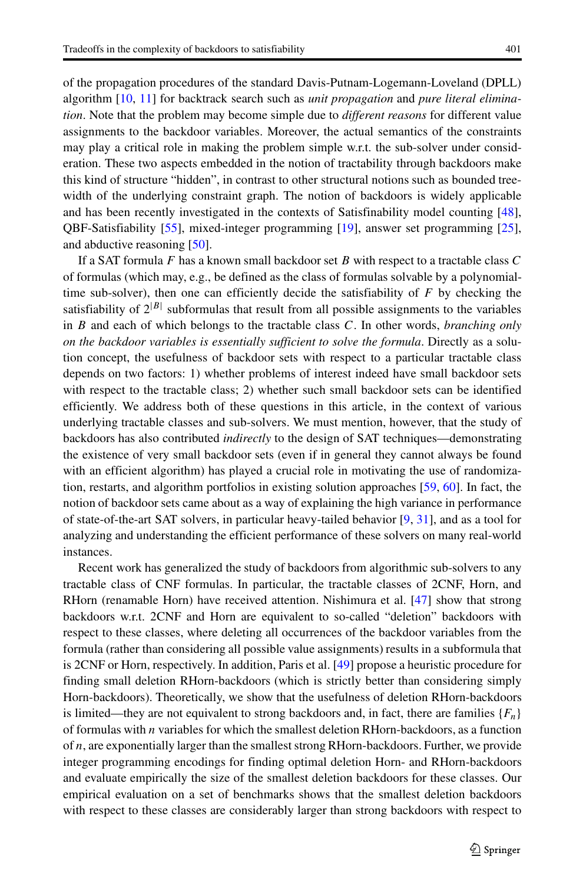of the propagation procedures of the standard Davis-Putnam-Logemann-Loveland (DPLL) algorithm [\[10,](#page-31-7) [11\]](#page-31-8) for backtrack search such as *unit propagation* and *pure literal elimination*. Note that the problem may become simple due to *different reasons* for different value assignments to the backdoor variables. Moreover, the actual semantics of the constraints may play a critical role in making the problem simple w.r.t. the sub-solver under consideration. These two aspects embedded in the notion of tractability through backdoors make this kind of structure "hidden", in contrast to other structural notions such as bounded treewidth of the underlying constraint graph. The notion of backdoors is widely applicable and has been recently investigated in the contexts of Satisfinability model counting [\[48\]](#page-32-4), QBF-Satisfiability [\[55\]](#page-32-5), mixed-integer programming [\[19\]](#page-31-9), answer set programming [\[25\]](#page-31-10), and abductive reasoning [\[50\]](#page-32-6).

If a SAT formula  $F$  has a known small backdoor set  $B$  with respect to a tractable class  $C$ of formulas (which may, e.g., be defined as the class of formulas solvable by a polynomialtime sub-solver), then one can efficiently decide the satisfiability of  $F$  by checking the satisfiability of  $2^{|B|}$  subformulas that result from all possible assignments to the variables in B and each of which belongs to the tractable class C. In other words, *branching only on the backdoor variables is essentially sufficient to solve the formula*. Directly as a solution concept, the usefulness of backdoor sets with respect to a particular tractable class depends on two factors: 1) whether problems of interest indeed have small backdoor sets with respect to the tractable class; 2) whether such small backdoor sets can be identified efficiently. We address both of these questions in this article, in the context of various underlying tractable classes and sub-solvers. We must mention, however, that the study of backdoors has also contributed *indirectly* to the design of SAT techniques—demonstrating the existence of very small backdoor sets (even if in general they cannot always be found with an efficient algorithm) has played a crucial role in motivating the use of randomization, restarts, and algorithm portfolios in existing solution approaches [\[59,](#page-32-2) [60\]](#page-32-3). In fact, the notion of backdoor sets came about as a way of explaining the high variance in performance of state-of-the-art SAT solvers, in particular heavy-tailed behavior [\[9,](#page-30-3) [31\]](#page-31-11), and as a tool for analyzing and understanding the efficient performance of these solvers on many real-world instances.

Recent work has generalized the study of backdoors from algorithmic sub-solvers to any tractable class of CNF formulas. In particular, the tractable classes of 2CNF, Horn, and RHorn (renamable Horn) have received attention. Nishimura et al. [\[47\]](#page-32-7) show that strong backdoors w.r.t. 2CNF and Horn are equivalent to so-called "deletion" backdoors with respect to these classes, where deleting all occurrences of the backdoor variables from the formula (rather than considering all possible value assignments) results in a subformula that is 2CNF or Horn, respectively. In addition, Paris et al. [\[49\]](#page-32-8) propose a heuristic procedure for finding small deletion RHorn-backdoors (which is strictly better than considering simply Horn-backdoors). Theoretically, we show that the usefulness of deletion RHorn-backdoors is limited—they are not equivalent to strong backdoors and, in fact, there are families  $\{F_n\}$ of formulas with  $n$  variables for which the smallest deletion RHorn-backdoors, as a function of  $n$ , are exponentially larger than the smallest strong RHorn-backdoors. Further, we provide integer programming encodings for finding optimal deletion Horn- and RHorn-backdoors and evaluate empirically the size of the smallest deletion backdoors for these classes. Our empirical evaluation on a set of benchmarks shows that the smallest deletion backdoors with respect to these classes are considerably larger than strong backdoors with respect to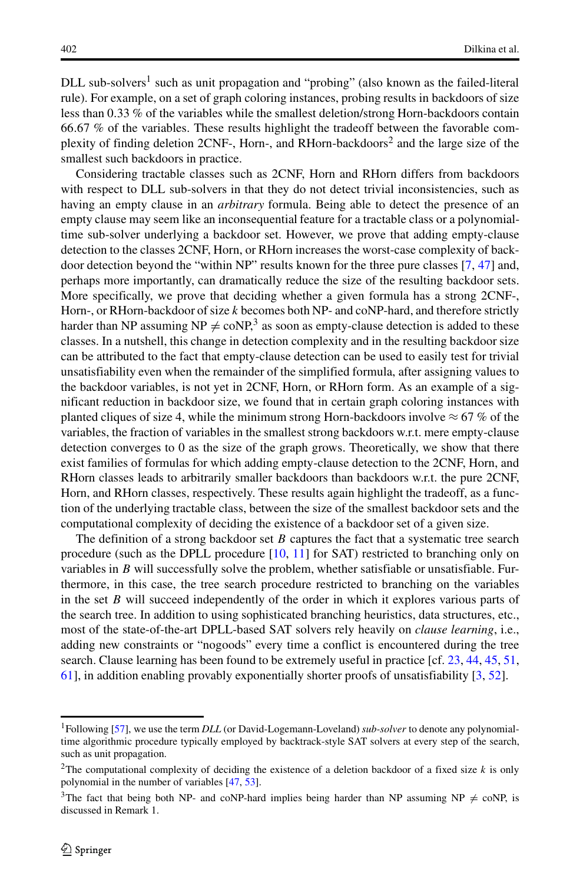$DLL$  sub-solvers<sup>[1](#page-3-0)</sup> such as unit propagation and "probing" (also known as the failed-literal rule). For example, on a set of graph coloring instances, probing results in backdoors of size less than 0.33 % of the variables while the smallest deletion/strong Horn-backdoors contain <sup>66</sup>.67 % of the variables. These results highlight the tradeoff between the favorable complexity of finding deletion 2CNF-, Horn-, and RHorn-backdoors<sup>2</sup> and the large size of the smallest such backdoors in practice.

Considering tractable classes such as 2CNF, Horn and RHorn differs from backdoors with respect to DLL sub-solvers in that they do not detect trivial inconsistencies, such as having an empty clause in an *arbitrary* formula. Being able to detect the presence of an empty clause may seem like an inconsequential feature for a tractable class or a polynomialtime sub-solver underlying a backdoor set. However, we prove that adding empty-clause detection to the classes 2CNF, Horn, or RHorn increases the worst-case complexity of backdoor detection beyond the "within NP" results known for the three pure classes [\[7,](#page-30-4) [47\]](#page-32-7) and, perhaps more importantly, can dramatically reduce the size of the resulting backdoor sets. More specifically, we prove that deciding whether a given formula has a strong 2CNF-, Horn-, or RHorn-backdoor of size  $k$  becomes both NP- and coNP-hard, and therefore strictly harder than NP assuming  $NP \neq coNP$ ,<sup>[3](#page-3-2)</sup> as soon as empty-clause detection is added to these classes. In a nutshell, this change in detection complexity and in the resulting backdoor size can be attributed to the fact that empty-clause detection can be used to easily test for trivial unsatisfiability even when the remainder of the simplified formula, after assigning values to the backdoor variables, is not yet in 2CNF, Horn, or RHorn form. As an example of a significant reduction in backdoor size, we found that in certain graph coloring instances with planted cliques of size 4, while the minimum strong Horn-backdoors involve  $\approx 67\%$  of the variables, the fraction of variables in the smallest strong backdoors w.r.t. mere empty-clause detection converges to 0 as the size of the graph grows. Theoretically, we show that there exist families of formulas for which adding empty-clause detection to the 2CNF, Horn, and RHorn classes leads to arbitrarily smaller backdoors than backdoors w.r.t. the pure 2CNF, Horn, and RHorn classes, respectively. These results again highlight the tradeoff, as a function of the underlying tractable class, between the size of the smallest backdoor sets and the computational complexity of deciding the existence of a backdoor set of a given size.

The definition of a strong backdoor set  $B$  captures the fact that a systematic tree search procedure (such as the DPLL procedure [\[10,](#page-31-7) [11\]](#page-31-8) for SAT) restricted to branching only on variables in  $B$  will successfully solve the problem, whether satisfiable or unsatisfiable. Furthermore, in this case, the tree search procedure restricted to branching on the variables in the set  $B$  will succeed independently of the order in which it explores various parts of the search tree. In addition to using sophisticated branching heuristics, data structures, etc., most of the state-of-the-art DPLL-based SAT solvers rely heavily on *clause learning*, i.e., adding new constraints or "nogoods" every time a conflict is encountered during the tree search. Clause learning has been found to be extremely useful in practice [cf. [23,](#page-31-12) [44,](#page-32-9) [45,](#page-32-10) [51,](#page-32-11) [61\]](#page-32-12), in addition enabling provably exponentially shorter proofs of unsatisfiability [\[3,](#page-30-5) [52\]](#page-32-13).

<span id="page-3-0"></span><sup>1</sup>Following [\[57\]](#page-32-14), we use the term *DLL* (or David-Logemann-Loveland) *sub-solver* to denote any polynomialtime algorithmic procedure typically employed by backtrack-style SAT solvers at every step of the search, such as unit propagation.

<span id="page-3-1"></span><sup>&</sup>lt;sup>2</sup>The computational complexity of deciding the existence of a deletion backdoor of a fixed size  $k$  is only polynomial in the number of variables [\[47,](#page-32-7) [53\]](#page-32-15).

<span id="page-3-2"></span><sup>&</sup>lt;sup>3</sup>The fact that being both NP- and coNP-hard implies being harder than NP assuming NP  $\neq$  coNP, is discussed in Remark 1.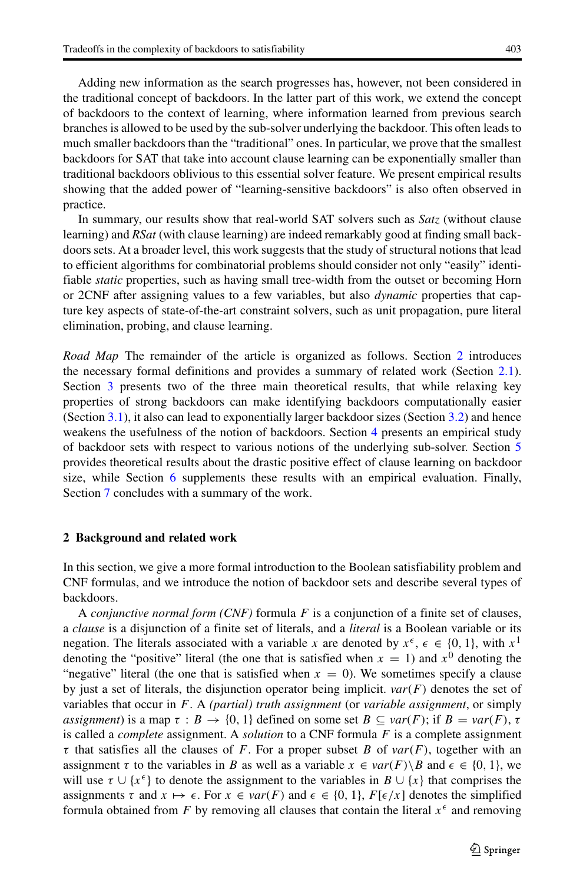Adding new information as the search progresses has, however, not been considered in the traditional concept of backdoors. In the latter part of this work, we extend the concept of backdoors to the context of learning, where information learned from previous search branches is allowed to be used by the sub-solver underlying the backdoor. This often leads to much smaller backdoors than the "traditional" ones. In particular, we prove that the smallest backdoors for SAT that take into account clause learning can be exponentially smaller than traditional backdoors oblivious to this essential solver feature. We present empirical results showing that the added power of "learning-sensitive backdoors" is also often observed in practice.

In summary, our results show that real-world SAT solvers such as *Satz* (without clause learning) and *RSat* (with clause learning) are indeed remarkably good at finding small backdoors sets. At a broader level, this work suggests that the study of structural notions that lead to efficient algorithms for combinatorial problems should consider not only "easily" identifiable *static* properties, such as having small tree-width from the outset or becoming Horn or 2CNF after assigning values to a few variables, but also *dynamic* properties that capture key aspects of state-of-the-art constraint solvers, such as unit propagation, pure literal elimination, probing, and clause learning.

*Road Map* The remainder of the article is organized as follows. Section [2](#page-4-0) introduces the necessary formal definitions and provides a summary of related work (Section [2.1\)](#page-8-0). Section [3](#page-10-0) presents two of the three main theoretical results, that while relaxing key properties of strong backdoors can make identifying backdoors computationally easier (Section [3.1\)](#page-11-0), it also can lead to exponentially larger backdoor sizes (Section [3.2\)](#page-15-0) and hence weakens the usefulness of the notion of backdoors. Section [4](#page-17-0) presents an empirical study of backdoor sets with respect to various notions of the underlying sub-solver. Section [5](#page-22-0) provides theoretical results about the drastic positive effect of clause learning on backdoor size, while Section [6](#page-27-0) supplements these results with an empirical evaluation. Finally, Section [7](#page-28-0) concludes with a summary of the work.

#### <span id="page-4-0"></span>**2 Background and related work**

In this section, we give a more formal introduction to the Boolean satisfiability problem and CNF formulas, and we introduce the notion of backdoor sets and describe several types of backdoors.

<sup>A</sup> *conjunctive normal form (CNF)* formula F is a conjunction of a finite set of clauses, a *clause* is a disjunction of a finite set of literals, and a *literal* is a Boolean variable or its negation. The literals associated with a variable x are denoted by  $x^{\epsilon}$ ,  $\epsilon \in \{0, 1\}$ , with  $x^{1}$  denoting the "positive" literal (the one that is satisfied when  $x = 1$ ) and  $x^{0}$  denoting the denoting the "positive" literal (the one that is satisfied when  $x = 1$ ) and  $x^0$  denoting the "negative" literal (the one that is satisfied when  $x = 0$ ). We sometimes specify a clause by just a set of literals, the disjunction operator being implicit. *var*(F) denotes the set of variables that occur in F. A *(partial) truth assignment* (or *variable assignment*, or simply *assignment*) is a map  $\tau : B \to \{0, 1\}$  defined on some set  $B \subseteq \text{var}(F)$ ; if  $B = \text{var}(F)$ ,  $\tau$ is called a *complete* assignment. A *solution* to a CNF formula F is a complete assignment  $\tau$  that satisfies all the clauses of F. For a proper subset B of  $var(F)$ , together with an assignment  $\tau$  to the variables in B as well as a variable  $x \in \text{var}(F) \setminus B$  and  $\epsilon \in \{0, 1\}$ , we<br>will use  $\tau \cup \{x^{\epsilon}\}\$  to denote the assignment to the variables in  $B \cup \{x\}$  that comprises the will use  $\tau \cup \{x^{\epsilon}\}\)$  to denote the assignment to the variables in  $B \cup \{x\}$  that comprises the simplified assignments  $\tau$  and  $x \mapsto \epsilon$ . For  $x \in var(F)$  and  $\epsilon \in \{0, 1\}$ ,  $F[\epsilon/x]$  denotes the simplified form  $E$  by removing all clauses that contain the literal  $x^{\epsilon}$  and removing formula obtained from F by removing all clauses that contain the literal  $x^{\epsilon}$  and removing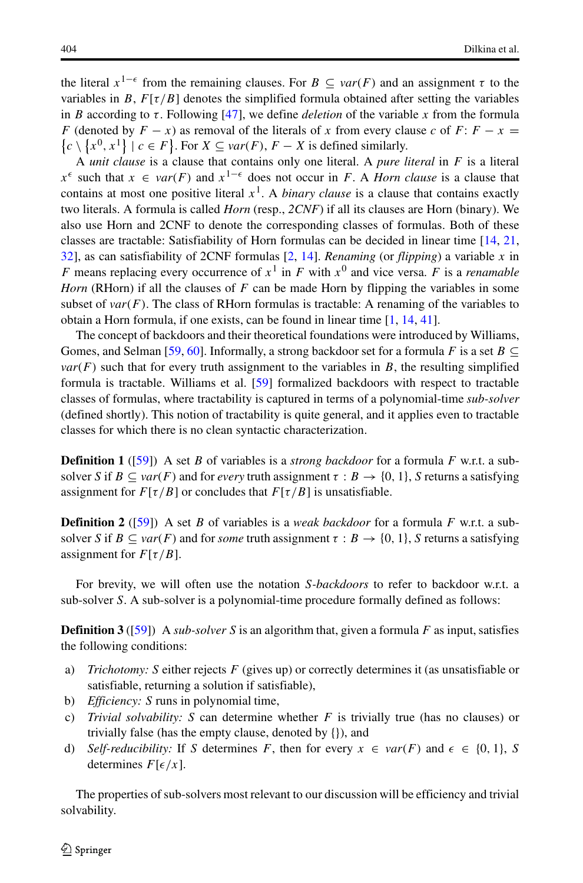the literal  $x^{1-\epsilon}$  from the remaining clauses. For  $B \subseteq var(F)$  and an assignment  $\tau$  to the variables in  $B \to E[\tau/R]$  denotes the simplified formula obtained after setting the variables variables in B,  $F[\tau/B]$  denotes the simplified formula obtained after setting the variables in B according to  $\tau$ . Following [\[47\]](#page-32-7), we define *deletion* of the variable x from the formula F (denoted by  $F - x$ ) as removal of the literals of x from every clause c of F:  $F - x =$  $\{c \setminus \{x^0, x^1\} \mid c \in F\}$ . For  $X \subseteq var(F)$ ,  $F - X$  is defined similarly.

<sup>A</sup> *unit clause* is a clause that contains only one literal. A *pure literal* in F is a literal x<sup>-</sup> such that  $x \in Var(F)$  and  $x^{-1}$  does not occur in  $F$ . A *hom clause* is a clause that<br>contains at most one positive literal  $x^1$ . A *binary clause* is a clause that contains exactly<br>two literals. A formula is called  $\epsilon$  such that  $x \in \text{var}(F)$  and  $x^{1-\epsilon}$  does not occur in F. A *Horn clause* is a clause that two literals. A formula is called *Horn* (resp., *2CNF*) if all its clauses are Horn (binary). We also use Horn and 2CNF to denote the corresponding classes of formulas. Both of these classes are tractable: Satisfiability of Horn formulas can be decided in linear time [\[14,](#page-31-13) [21,](#page-31-14) [32\]](#page-31-15), as can satisfiability of 2CNF formulas [\[2,](#page-30-6) [14\]](#page-31-13). *Renaming* (or *flipping*) a variable x in F means replacing every occurrence of  $x^1$  in F with  $x^0$  and vice versa. F is a *renamable Horn* (RHorn) if all the clauses of F can be made Horn by flipping the variables in some subset of  $var(F)$ . The class of RHorn formulas is tractable: A renaming of the variables to obtain a Horn formula, if one exists, can be found in linear time [\[1,](#page-30-7) [14,](#page-31-13) [41\]](#page-31-16).

The concept of backdoors and their theoretical foundations were introduced by Williams, Gomes, and Selman [\[59,](#page-32-2) [60\]](#page-32-3). Informally, a strong backdoor set for a formula F is a set  $B \subseteq$  $var(F)$  such that for every truth assignment to the variables in  $B$ , the resulting simplified formula is tractable. Williams et al. [\[59\]](#page-32-2) formalized backdoors with respect to tractable classes of formulas, where tractability is captured in terms of a polynomial-time *sub-solver* (defined shortly). This notion of tractability is quite general, and it applies even to tractable classes for which there is no clean syntactic characterization.

**Definition 1** ([\[59\]](#page-32-2)) A set B of variables is a *strong backdoor* for a formula F w.r.t. a subsolver S if  $B \subseteq \text{var}(F)$  and for *every* truth assignment  $\tau : B \to \{0, 1\}$ , S returns a satisfying assignment for  $F[\tau/B]$  or concludes that  $F[\tau/B]$  is unsatisfiable.

**Definition 2** ([\[59\]](#page-32-2)) A set B of variables is a *weak backdoor* for a formula F w.r.t. a subsolver S if  $B \subseteq \text{var}(F)$  and for *some* truth assignment  $\tau : B \to \{0, 1\}$ , S returns a satisfying assignment for  $F[\tau/B]$ .

For brevity, we will often use the notation S*-backdoors* to refer to backdoor w.r.t. a sub-solver S. A sub-solver is a polynomial-time procedure formally defined as follows:

**Definition 3** ([\[59\]](#page-32-2)) A *sub-solver* S is an algorithm that, given a formula F as input, satisfies the following conditions:

- a) *Trichotomy:* S either rejects F (gives up) or correctly determines it (as unsatisfiable or satisfiable, returning a solution if satisfiable),
- b) *Efficiency: S* runs in polynomial time,<br>c) *Trivial solvability: S* can determine
- *Trivial solvability:* S can determine whether  $F$  is trivially true (has no clauses) or trivially false (has the empty clause, denoted by {}), and
- d) *Self-reducibility:* If S determines F, then for every  $x \in var(F)$  and  $\epsilon \in \{0, 1\}$ , S determines  $F[\epsilon/x]$ determines  $F[\epsilon/x]$ .

The properties of sub-solvers most relevant to our discussion will be efficiency and trivial solvability.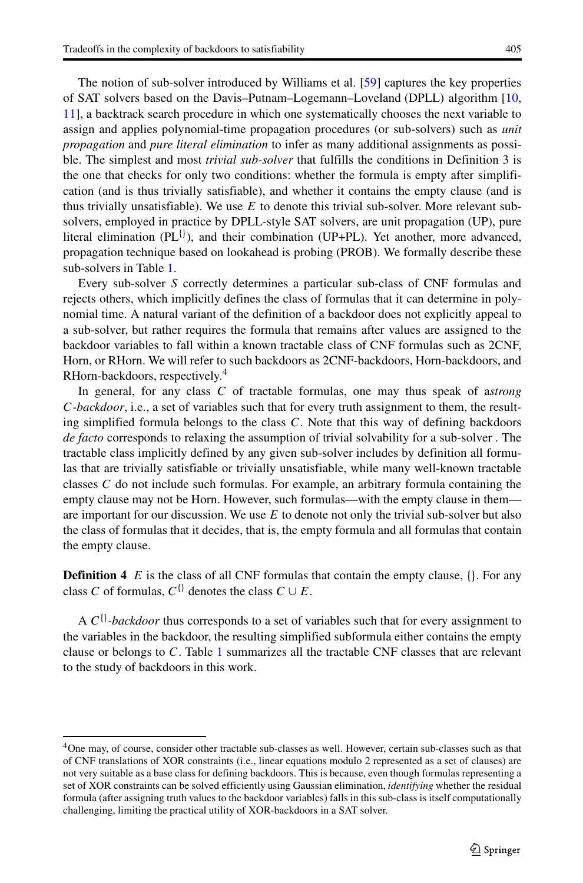The notion of sub-solver introduced by Williams et al. [\[59\]](#page-32-2) captures the key properties of SAT solvers based on the Davis–Putnam–Logemann–Loveland (DPLL) algorithm [\[10,](#page-31-7) [11\]](#page-31-8), a backtrack search procedure in which one systematically chooses the next variable to assign and applies polynomial-time propagation procedures (or sub-solvers) such as *unit propagation* and *pure literal elimination* to infer as many additional assignments as possible. The simplest and most *trivial sub-solver* that fulfills the conditions in Definition 3 is the one that checks for only two conditions: whether the formula is empty after simplification (and is thus trivially satisfiable), and whether it contains the empty clause (and is thus trivially unsatisfiable). We use  $E$  to denote this trivial sub-solver. More relevant subsolvers, employed in practice by DPLL-style SAT solvers, are unit propagation (UP), pure literal elimination ( $PL^{\{i\}}$ ), and their combination (UP+PL). Yet another, more advanced, propagation technique based on lookahead is probing (PROB). We formally describe these sub-solvers in Table [1.](#page-7-0)

Every sub-solver S correctly determines a particular sub-class of CNF formulas and rejects others, which implicitly defines the class of formulas that it can determine in polynomial time. A natural variant of the definition of a backdoor does not explicitly appeal to a sub-solver, but rather requires the formula that remains after values are assigned to the backdoor variables to fall within a known tractable class of CNF formulas such as 2CNF, Horn, or RHorn. We will refer to such backdoors as 2CNF-backdoors, Horn-backdoors, and RHorn-backdoors, respectively.[4](#page-6-0)

In general, for any class C of tractable formulas, one may thus speak of a*strong* C*-backdoor*, i.e., a set of variables such that for every truth assignment to them, the resulting simplified formula belongs to the class  $C$ . Note that this way of defining backdoors *de facto* corresponds to relaxing the assumption of trivial solvability for a sub-solver . The tractable class implicitly defined by any given sub-solver includes by definition all formulas that are trivially satisfiable or trivially unsatisfiable, while many well-known tractable classes C do not include such formulas. For example, an arbitrary formula containing the empty clause may not be Horn. However, such formulas—with the empty clause in them are important for our discussion. We use  $E$  to denote not only the trivial sub-solver but also the class of formulas that it decides, that is, the empty formula and all formulas that contain the empty clause.

**Definition 4** E is the class of all CNF formulas that contain the empty clause,  $\{\}$ . For any class C of formulas,  $C^{\{\}}$  denotes the class  $C \cup E$ .

A  $C^{1}$ -backdoor thus corresponds to a set of variables such that for every assignment to the variables in the backdoor, the resulting simplified subformula either contains the empty clause or belongs to C. Table [1](#page-7-0) summarizes all the tractable CNF classes that are relevant to the study of backdoors in this work.

<span id="page-6-0"></span><sup>4</sup>One may, of course, consider other tractable sub-classes as well. However, certain sub-classes such as that of CNF translations of XOR constraints (i.e., linear equations modulo 2 represented as a set of clauses) are not very suitable as a base class for defining backdoors. This is because, even though formulas representing a set of XOR constraints can be solved efficiently using Gaussian elimination, *identifying* whether the residual formula (after assigning truth values to the backdoor variables) falls in this sub-class is itself computationally challenging, limiting the practical utility of XOR-backdoors in a SAT solver.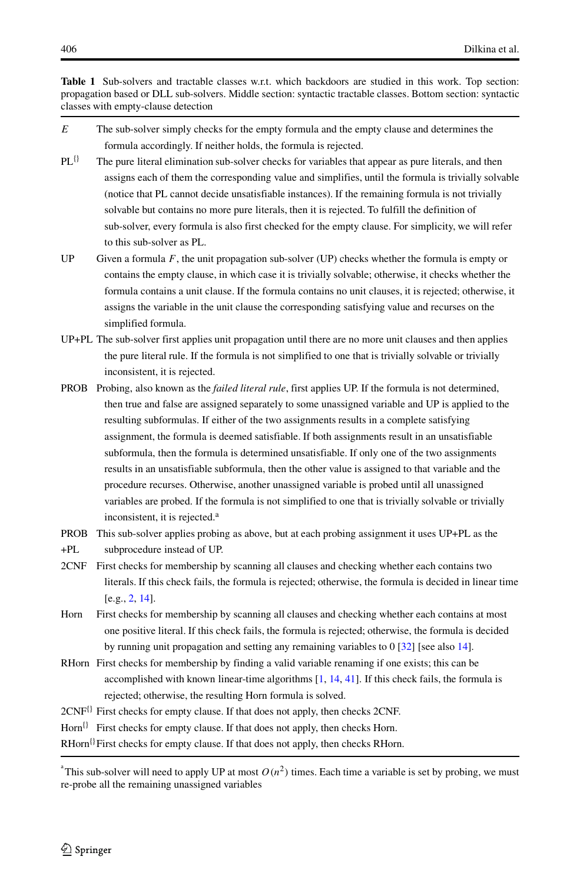<span id="page-7-0"></span>**Table 1** Sub-solvers and tractable classes w.r.t. which backdoors are studied in this work. Top section: propagation based or DLL sub-solvers. Middle section: syntactic tractable classes. Bottom section: syntactic classes with empty-clause detection

- $E$  The sub-solver simply checks for the empty formula and the empty clause and determines the formula accordingly. If neither holds, the formula is rejected.
- $PL$ <sup>{}</sup> The pure literal elimination sub-solver checks for variables that appear as pure literals, and then assigns each of them the corresponding value and simplifies, until the formula is trivially solvable (notice that PL cannot decide unsatisfiable instances). If the remaining formula is not trivially solvable but contains no more pure literals, then it is rejected. To fulfill the definition of sub-solver, every formula is also first checked for the empty clause. For simplicity, we will refer to this sub-solver as PL.
- UP Given a formula  $F$ , the unit propagation sub-solver (UP) checks whether the formula is empty or contains the empty clause, in which case it is trivially solvable; otherwise, it checks whether the formula contains a unit clause. If the formula contains no unit clauses, it is rejected; otherwise, it assigns the variable in the unit clause the corresponding satisfying value and recurses on the simplified formula.
- UP+PL The sub-solver first applies unit propagation until there are no more unit clauses and then applies the pure literal rule. If the formula is not simplified to one that is trivially solvable or trivially inconsistent, it is rejected.
- PROB Probing, also known as the *failed literal rule*, first applies UP. If the formula is not determined, then true and false are assigned separately to some unassigned variable and UP is applied to the resulting subformulas. If either of the two assignments results in a complete satisfying assignment, the formula is deemed satisfiable. If both assignments result in an unsatisfiable subformula, then the formula is determined unsatisfiable. If only one of the two assignments results in an unsatisfiable subformula, then the other value is assigned to that variable and the procedure recurses. Otherwise, another unassigned variable is probed until all unassigned variables are probed. If the formula is not simplified to one that is trivially solvable or trivially inconsistent, it is rejected.<sup>a</sup>
- PROB This sub-solver applies probing as above, but at each probing assignment it uses UP+PL as the
- +PL subprocedure instead of UP.
- 2CNF First checks for membership by scanning all clauses and checking whether each contains two literals. If this check fails, the formula is rejected; otherwise, the formula is decided in linear time [e.g., [2,](#page-30-6) [14\]](#page-31-13).
- Horn First checks for membership by scanning all clauses and checking whether each contains at most one positive literal. If this check fails, the formula is rejected; otherwise, the formula is decided by running unit propagation and setting any remaining variables to 0 [\[32\]](#page-31-15) [see also [14\]](#page-31-13).
- RHorn First checks for membership by finding a valid variable renaming if one exists; this can be accomplished with known linear-time algorithms [\[1,](#page-30-7) [14,](#page-31-13) [41\]](#page-31-16). If this check fails, the formula is rejected; otherwise, the resulting Horn formula is solved.
- $2CNF{}^{[}$  First checks for empty clause. If that does not apply, then checks 2CNF.
- $Horn$ <sup>{}</sup> First checks for empty clause. If that does not apply, then checks Horn.

 $R$ Horn<sup>{}</sup>First checks for empty clause. If that does not apply, then checks RHorn.

<sup>&</sup>lt;sup>a</sup> This sub-solver will need to apply UP at most  $O(n^2)$  times. Each time a variable is set by probing, we must re-probe all the remaining unassigned variables re-probe all the remaining unassigned variables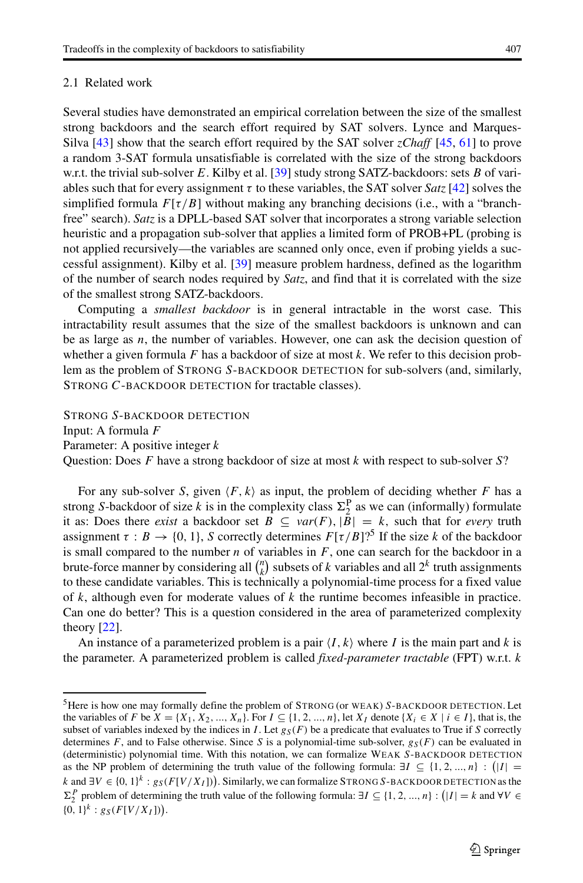## <span id="page-8-0"></span>2.1 Related work

Several studies have demonstrated an empirical correlation between the size of the smallest strong backdoors and the search effort required by SAT solvers. Lynce and Marques-Silva [\[43\]](#page-32-16) show that the search effort required by the SAT solver *zChaff* [\[45,](#page-32-10) [61\]](#page-32-12) to prove a random 3-SAT formula unsatisfiable is correlated with the size of the strong backdoors w.r.t. the trivial sub-solver E. Kilby et al. [\[39\]](#page-31-17) study strong SATZ-backdoors: sets B of variables such that for every assignment  $\tau$  to these variables, the SAT solver *Satz* [\[42\]](#page-32-17) solves the simplified formula  $F[\tau/B]$  without making any branching decisions (i.e., with a "branchfree" search). *Satz* is a DPLL-based SAT solver that incorporates a strong variable selection heuristic and a propagation sub-solver that applies a limited form of PROB+PL (probing is not applied recursively—the variables are scanned only once, even if probing yields a successful assignment). Kilby et al. [\[39\]](#page-31-17) measure problem hardness, defined as the logarithm of the number of search nodes required by *Satz*, and find that it is correlated with the size of the smallest strong SATZ-backdoors.

Computing a *smallest backdoor* is in general intractable in the worst case. This intractability result assumes that the size of the smallest backdoors is unknown and can be as large as  $n$ , the number of variables. However, one can ask the decision question of whether a given formula  $F$  has a backdoor of size at most  $k$ . We refer to this decision problem as the problem of STRONG S-BACKDOOR DETECTION for sub-solvers (and, similarly, STRONG C-BACKDOOR DETECTION for tractable classes).

STRONG S-BACKDOOR DETECTION

Input: A formula F

Parameter: A positive integer  $k$ 

Question: Does F have a strong backdoor of size at most  $k$  with respect to sub-solver  $S$ ?

For any sub-solver S, given  $\langle F, k \rangle$  as input, the problem of deciding whether F has a no S-hackdoor of size k is in the complexity class  $\Sigma^P$  as we can (informally) formulate strong *S*-backdoor of size k is in the complexity class  $\Sigma_2^P$  as we can (informally) formulate<br>it as: Does there exist a backdoor set  $R \subseteq \text{var}(F)$ ,  $|R| = k$  such that for every truth it as: Does there *exist* a backdoor set  $B \subseteq var(F)$ ,  $|B| = k$ , such that for *every* truth assignment  $\tau : B \to \{0, 1\}$ , S correctly determines  $F[\tau/B]$ <sup>5</sup> If the size k of the backdoor is small compared to the number  $n$  of variables in  $F$ , one can search for the backdoor in a brute-force manner by considering all  $\binom{n}{k}$  subsets of k variables and all  $2^k$  truth assignments<br>to these candidate variables. This is technically a nolynomial-time process for a fixed value to these candidate variables. This is technically a polynomial-time process for a fixed value of k, although even for moderate values of  $k$  the runtime becomes infeasible in practice. Can one do better? This is a question considered in the area of parameterized complexity theory [\[22\]](#page-31-18).

An instance of a parameterized problem is a pair  $\langle I, k \rangle$  where I is the main part and k is<br>parameter. A parameterized problem is called fixed-parameter tractable (EPT) w.r.t. the parameter. A parameterized problem is called *fixed-parameter tractable* (FPT) w.r.t. k

<span id="page-8-1"></span><sup>&</sup>lt;sup>5</sup>Here is how one may formally define the problem of STRONG (or WEAK) S-BACKDOOR DETECTION. Let the variables of F be  $X = \{X_1, X_2, ..., X_n\}$ . For  $I \subseteq \{1, 2, ..., n\}$ , let  $X_I$  denote  $\{X_i \in X \mid i \in I\}$ , that is, the subset of variables indexed by the indices in I. Let  $g_S(F)$  be a predicate that evaluates to True if S correctly determines F, and to False otherwise. Since S is a polynomial-time sub-solver,  $g_S(F)$  can be evaluated in (deterministic) polynomial time. With this notation, we can formalize WEAK S-BACKDOOR DETECTION as the NP problem of determining the truth value of the following formula:  $\exists I \subseteq \{1, 2, ..., n\} : (|I| =$ <br>Land  $\exists V \in \{0, 1\}^k$ ,  $\alpha$  (EU/X, B) Similarly we get formalize STRONG S PAGYPOOP PETERTIONs the k and ∃V  $\in \{0, 1\}^k$ :  $g_S(F[V/X_I])$ ). Similarly, we can formalize STRONG S-BACKDOOR DETECTION as the  $\Sigma^p$  graph log of determining the truth value of the following formula:  $\overline{J}f \subset (1, 2, \ldots, n)$ , (11) h and  $\overline{VI} \subset R$  $\{0, 1\}^k : g_S(F[V/X_I])$ . P problem of determining the truth value of the following formula:  $\exists I \subseteq \{1, 2, ..., n\} : (|I| = k \text{ and } \forall V \in \mathbb{R}$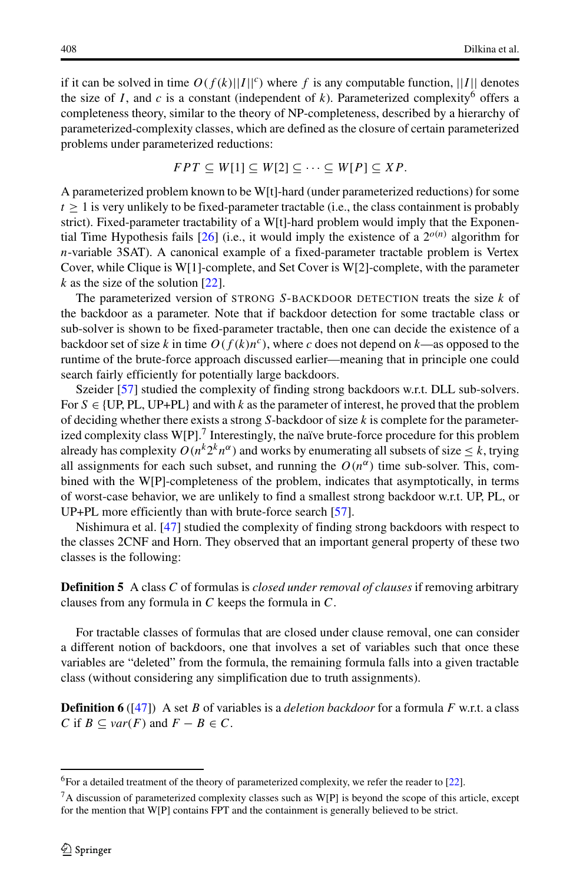if it can be solved in time  $O(f(k)||I||^c)$  where f is any computable function, ||I|| denotes the size of I, and c is a constant (independent of k). Parameterized complexity<sup>[6](#page-9-0)</sup> offers a completeness theory, similar to the theory of NP-completeness, described by a hierarchy of parameterized-complexity classes, which are defined as the closure of certain parameterized problems under parameterized reductions:

$$
FPT \subseteq W[1] \subseteq W[2] \subseteq \cdots \subseteq W[P] \subseteq XP.
$$

A parameterized problem known to be W[t]-hard (under parameterized reductions) for some  $t \geq 1$  is very unlikely to be fixed-parameter tractable (i.e., the class containment is probably strict). Fixed-parameter tractability of a W[t]-hard problem would imply that the Exponen-tial Time Hypothesis fails [\[26\]](#page-31-19) (i.e., it would imply the existence of a  $2^{o(n)}$  algorithm for n-variable 3SAT). A canonical example of a fixed-parameter tractable problem is Vertex Cover, while Clique is W[1]-complete, and Set Cover is W[2]-complete, with the parameter k as the size of the solution  $[22]$ .

The parameterized version of STRONG S-BACKDOOR DETECTION treats the size  $k$  of the backdoor as a parameter. Note that if backdoor detection for some tractable class or sub-solver is shown to be fixed-parameter tractable, then one can decide the existence of a backdoor set of size k in time  $O(f(k)n^c)$ , where c does not depend on k—as opposed to the runtime of the brute-force approach discussed earlier—meaning that in principle one could search fairly efficiently for potentially large backdoors.

Szeider [\[57\]](#page-32-14) studied the complexity of finding strong backdoors w.r.t. DLL sub-solvers. For  $S \in \{UP, PL, UP+PL\}$  and with k as the parameter of interest, he proved that the problem of deciding whether there exists a strong  $S$ -backdoor of size  $k$  is complete for the parameterized complexity class  $W[P]$ .<sup>[7](#page-9-1)</sup> Interestingly, the naïve brute-force procedure for this problem already has complexity  $O(n^k 2^k n^{\alpha})$  and works by enumerating all subsets of size  $\leq k$ , trying all assignments for each such subset, and running the  $O(n^{\alpha})$  time sub-solver. This, combined with the W[P]-completeness of the problem, indicates that asymptotically, in terms of worst-case behavior, we are unlikely to find a smallest strong backdoor w.r.t. UP, PL, or UP+PL more efficiently than with brute-force search [\[57\]](#page-32-14).

Nishimura et al. [\[47\]](#page-32-7) studied the complexity of finding strong backdoors with respect to the classes 2CNF and Horn. They observed that an important general property of these two classes is the following:

**Definition 5** A class C of formulas is *closed under removal of clauses* if removing arbitrary clauses from any formula in C keeps the formula in C.

For tractable classes of formulas that are closed under clause removal, one can consider a different notion of backdoors, one that involves a set of variables such that once these variables are "deleted" from the formula, the remaining formula falls into a given tractable class (without considering any simplification due to truth assignments).

**Definition 6** ([\[47\]](#page-32-7)) A set B of variables is a *deletion backdoor* for a formula F w.r.t. a class C if  $B \subseteq var(F)$  and  $F - B \in C$ .

<sup>&</sup>lt;sup>6</sup>For a detailed treatment of the theory of parameterized complexity, we refer the reader to [\[22\]](#page-31-18).

<span id="page-9-1"></span><span id="page-9-0"></span> ${}^{7}A$  discussion of parameterized complexity classes such as W[P] is beyond the scope of this article, except for the mention that W[P] contains FPT and the containment is generally believed to be strict.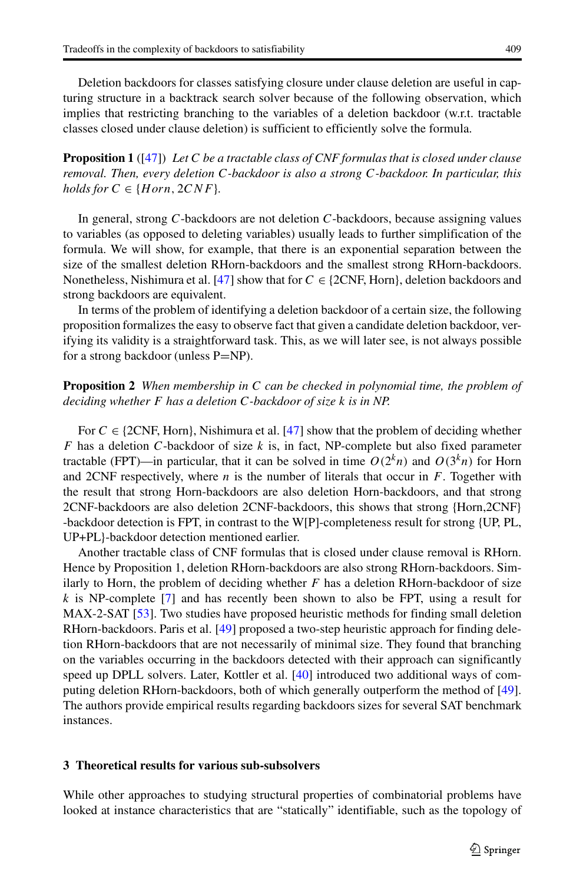Deletion backdoors for classes satisfying closure under clause deletion are useful in capturing structure in a backtrack search solver because of the following observation, which implies that restricting branching to the variables of a deletion backdoor (w.r.t. tractable classes closed under clause deletion) is sufficient to efficiently solve the formula.

**Proposition 1** ([\[47\]](#page-32-7)) *Let* C *be a tractable class of CNF formulas that is closed under clause removal. Then, every deletion* C*-backdoor is also a strong* C*-backdoor. In particular, this holds for*  $C \in \{Horn, 2CNF\}$ *.* 

In general, strong C-backdoors are not deletion C-backdoors, because assigning values to variables (as opposed to deleting variables) usually leads to further simplification of the formula. We will show, for example, that there is an exponential separation between the size of the smallest deletion RHorn-backdoors and the smallest strong RHorn-backdoors. Nonetheless, Nishimura et al. [\[47\]](#page-32-7) show that for  $C \in \{2CNF, Horn\}$ , deletion backdoors and strong backdoors are equivalent.

In terms of the problem of identifying a deletion backdoor of a certain size, the following proposition formalizes the easy to observe fact that given a candidate deletion backdoor, verifying its validity is a straightforward task. This, as we will later see, is not always possible for a strong backdoor (unless P=NP).

**Proposition 2** *When membership in* C *can be checked in polynomial time, the problem of deciding whether* F *has a deletion* C*-backdoor of size* k *is in NP.*

For  $C \in \{2CNF, Horn\}$ , Nishimura et al. [\[47\]](#page-32-7) show that the problem of deciding whether F has a deletion C-backdoor of size  $k$  is, in fact, NP-complete but also fixed parameter tractable (FPT)—in particular, that it can be solved in time  $O(2<sup>k</sup>n)$  and  $O(3<sup>k</sup>n)$  for Horn and 2CNF respectively, where  $n$  is the number of literals that occur in  $F$ . Together with the result that strong Horn-backdoors are also deletion Horn-backdoors, and that strong 2CNF-backdoors are also deletion 2CNF-backdoors, this shows that strong {Horn,2CNF} -backdoor detection is FPT, in contrast to the W[P]-completeness result for strong {UP, PL, UP+PL}-backdoor detection mentioned earlier.

Another tractable class of CNF formulas that is closed under clause removal is RHorn. Hence by Proposition 1, deletion RHorn-backdoors are also strong RHorn-backdoors. Similarly to Horn, the problem of deciding whether  $F$  has a deletion RHorn-backdoor of size  $k$  is NP-complete [\[7\]](#page-30-4) and has recently been shown to also be FPT, using a result for MAX-2-SAT [\[53\]](#page-32-15). Two studies have proposed heuristic methods for finding small deletion RHorn-backdoors. Paris et al. [\[49\]](#page-32-8) proposed a two-step heuristic approach for finding deletion RHorn-backdoors that are not necessarily of minimal size. They found that branching on the variables occurring in the backdoors detected with their approach can significantly speed up DPLL solvers. Later, Kottler et al. [\[40\]](#page-31-20) introduced two additional ways of computing deletion RHorn-backdoors, both of which generally outperform the method of [\[49\]](#page-32-8). The authors provide empirical results regarding backdoors sizes for several SAT benchmark instances.

## <span id="page-10-0"></span>**3 Theoretical results for various sub-subsolvers**

While other approaches to studying structural properties of combinatorial problems have looked at instance characteristics that are "statically" identifiable, such as the topology of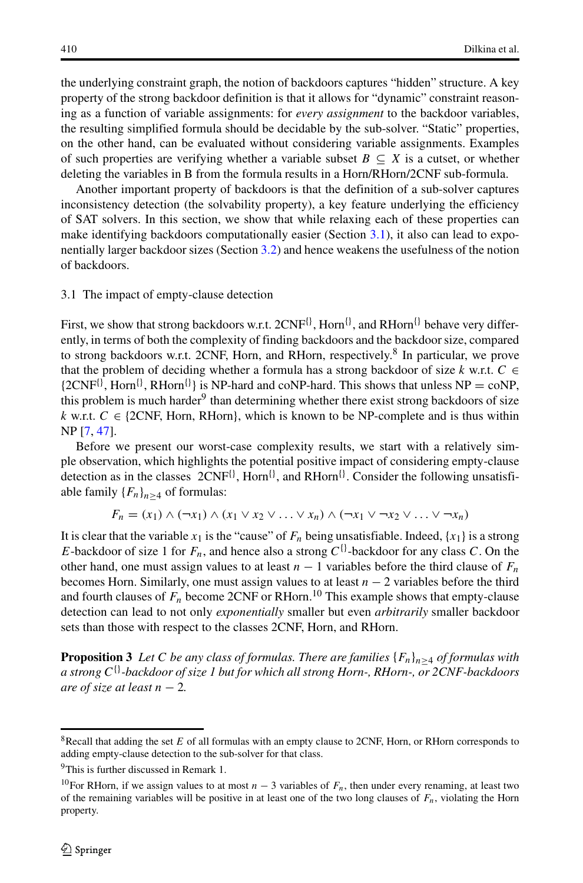the underlying constraint graph, the notion of backdoors captures "hidden" structure. A key property of the strong backdoor definition is that it allows for "dynamic" constraint reasoning as a function of variable assignments: for *every assignment* to the backdoor variables, the resulting simplified formula should be decidable by the sub-solver. "Static" properties, on the other hand, can be evaluated without considering variable assignments. Examples of such properties are verifying whether a variable subset  $B \subseteq X$  is a cutset, or whether deleting the variables in B from the formula results in a Horn/RHorn/2CNF sub-formula.

Another important property of backdoors is that the definition of a sub-solver captures inconsistency detection (the solvability property), a key feature underlying the efficiency of SAT solvers. In this section, we show that while relaxing each of these properties can make identifying backdoors computationally easier (Section [3.1\)](#page-11-0), it also can lead to exponentially larger backdoor sizes (Section [3.2\)](#page-15-0) and hence weakens the usefulness of the notion of backdoors.

## <span id="page-11-0"></span>3.1 The impact of empty-clause detection

First, we show that strong backdoors w.r.t.  $2CNF^{\{ \}}$ , Horn $^{\{ \}}$ , and RHorn $^{\{ \}}$  behave very differently, in terms of both the complexity of finding backdoors and the backdoor size, compared to strong backdoors w.r.t. 2CNF, Horn, and RHorn, respectively.<sup>[8](#page-11-1)</sup> In particular, we prove that the problem of deciding whether a formula has a strong backdoor of size k w.r.t.  $C \in$  ${2CNF<sup>{1}</sup>$ , Horn<sup>{}</sup>, RHorn<sup>{}</sup>} is NP-hard and coNP-hard. This shows that unless NP = coNP, this problem is much harder<sup>9</sup> than determining whether there exist strong backdoors of size k w.r.t.  $C \in \{2CNF, Horn, RHorn\}$ , which is known to be NP-complete and is thus within NP [\[7,](#page-30-4) [47\]](#page-32-7).

Before we present our worst-case complexity results, we start with a relatively simple observation, which highlights the potential positive impact of considering empty-clause detection as in the classes  $2CNF^{0}$ , Horn<sup>{{}}</sup>, and RHorn<sup>{{}}</sup>. Consider the following unsatisfiable family  ${F_n}_{n>4}$  of formulas:

$$
F_n = (x_1) \wedge (\neg x_1) \wedge (x_1 \vee x_2 \vee \ldots \vee x_n) \wedge (\neg x_1 \vee \neg x_2 \vee \ldots \vee \neg x_n)
$$

It is clear that the variable  $x_1$  is the "cause" of  $F_n$  being unsatisfiable. Indeed,  $\{x_1\}$  is a strong E-backdoor of size 1 for  $F_n$ , and hence also a strong  $C^{\{\}}$ -backdoor for any class C. On the other hand, one must assign values to at least  $n - 1$  variables before the third clause of  $F_n$ becomes Horn. Similarly, one must assign values to at least  $n - 2$  variables before the third and fourth clauses of  $F_n$  become 2CNF or RHorn.<sup>[10](#page-11-3)</sup> This example shows that empty-clause detection can lead to not only *exponentially* smaller but even *arbitrarily* smaller backdoor sets than those with respect to the classes 2CNF, Horn, and RHorn.

**Proposition 3** *Let* C *be any class of formulas. There are families*  ${F_n}_{n>4}$  *of formulas with a strong* C{}*-backdoor of size 1 but for which all strong Horn-, RHorn-, or 2CNF-backdoors are of size at least*  $n - 2$ *.* 

<span id="page-11-1"></span><sup>&</sup>lt;sup>8</sup>Recall that adding the set E of all formulas with an empty clause to 2CNF, Horn, or RHorn corresponds to adding empty-clause detection to the sub-solver for that class.

<sup>&</sup>lt;sup>9</sup>This is further discussed in Remark 1.

<span id="page-11-3"></span><span id="page-11-2"></span><sup>&</sup>lt;sup>10</sup>For RHorn, if we assign values to at most  $n - 3$  variables of  $F_n$ , then under every renaming, at least two of the remaining variables will be positive in at least one of the two long clauses of  $F_n$ , violating the Horn property.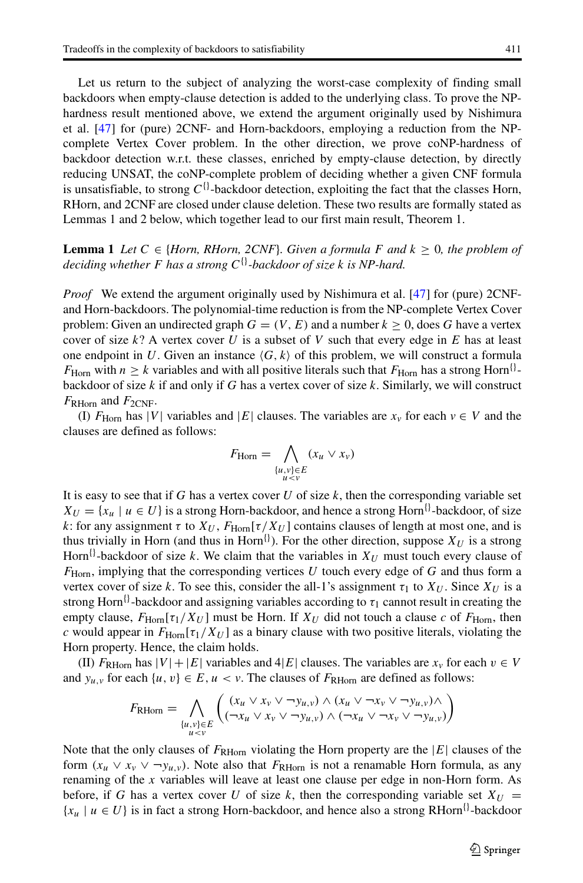Let us return to the subject of analyzing the worst-case complexity of finding small backdoors when empty-clause detection is added to the underlying class. To prove the NPhardness result mentioned above, we extend the argument originally used by Nishimura et al. [\[47\]](#page-32-7) for (pure) 2CNF- and Horn-backdoors, employing a reduction from the NPcomplete Vertex Cover problem. In the other direction, we prove coNP-hardness of backdoor detection w.r.t. these classes, enriched by empty-clause detection, by directly reducing UNSAT, the coNP-complete problem of deciding whether a given CNF formula is unsatisfiable, to strong  $C^{\{\}}$ -backdoor detection, exploiting the fact that the classes Horn, RHorn, and 2CNF are closed under clause deletion. These two results are formally stated as Lemmas 1 and 2 below, which together lead to our first main result, Theorem 1.

**Lemma 1** Let  $C \in \{Horn, RHorn, 2CNF\}$ . Given a formula F and  $k \geq 0$ , the problem of *deciding whether* <sup>F</sup> *has a strong* <sup>C</sup>{}*-backdoor of size* k *is NP-hard.*

*Proof* We extend the argument originally used by Nishimura et al. [\[47\]](#page-32-7) for (pure) 2CNFand Horn-backdoors. The polynomial-time reduction is from the NP-complete Vertex Cover problem: Given an undirected graph  $G = (V, E)$  and a number  $k \ge 0$ , does G have a vertex cover of size  $k$ ? A vertex cover U is a subset of V such that every edge in E has at least one endpoint in U. Given an instance  $\langle G, k \rangle$  of this problem, we will construct a formula<br>  $F_{11}$  with  $n > k$  variables and with all positive literals such that  $F_{11}$  has a strong Horn<sup>{{}</sup>}- $F_{\text{Horn}}$  with  $n \geq k$  variables and with all positive literals such that  $F_{\text{Horn}}$  has a strong Horn<sup>{}</sup>backdoor of size  $k$  if and only if  $G$  has a vertex cover of size  $k$ . Similarly, we will construct  $F_{\rm RHorn}$  and  $F_{\rm 2CNF}$ .

(I)  $F_{\text{Horn}}$  has |V| variables and |E| clauses. The variables are  $x_v$  for each  $v \in V$  and the clauses are defined as follows:

$$
F_{\text{Horn}} = \bigwedge_{\substack{\{u,v\} \in E \\ u < v}} (x_u \vee x_v)
$$

It is easy to see that if G has a vertex cover U of size  $k$ , then the corresponding variable set  $X_U = \{x_u \mid u \in U\}$  is a strong Horn-backdoor, and hence a strong Horn<sup>{}</sup>-backdoor, of size k: for any assignment  $\tau$  to  $X_U$ ,  $F_{\text{Horn}}[\tau/X_U]$  contains clauses of length at most one, and is thus trivially in Horn (and thus in Horn<sup>{}</sup>). For the other direction, suppose  $X_U$  is a strong Horn<sup>{}</sup>-backdoor of size k. We claim that the variables in  $X_U$  must touch every clause of  $F<sub>Horn</sub>$ , implying that the corresponding vertices U touch every edge of G and thus form a vertex cover of size k. To see this, consider the all-1's assignment  $\tau_1$  to  $X_U$ . Since  $X_U$  is a strong Horn<sup>{}</sup>-backdoor and assigning variables according to  $\tau_1$  cannot result in creating the empty clause,  $F_{\text{Horn}}[\tau_1/X_U]$  must be Horn. If  $X_U$  did not touch a clause c of  $F_{\text{Horn}}$ , then c would appear in  $F<sub>Hom</sub>[\tau_1/X_U]$  as a binary clause with two positive literals, violating the Horn property. Hence, the claim holds.

(II)  $F_{\text{RHorn}}$  has  $|V| + |E|$  variables and  $4|E|$  clauses. The variables are  $x_v$  for each  $v \in V$ and  $y_{u,v}$  for each  $\{u,v\} \in E, u \lt v$ . The clauses of  $F_{\text{RHorn}}$  are defined as follows:

$$
F_{\text{RHorn}} = \bigwedge_{\substack{\{u,v\} \in E \\ u < v}} \left( \frac{(x_u \lor x_v \lor \neg y_{u,v}) \land (x_u \lor \neg x_v \lor \neg y_{u,v}) \land}{(\neg x_u \lor x_v \lor \neg y_{u,v}) \land (\neg x_u \lor \neg x_v \lor \neg y_{u,v})} \right)
$$

Note that the only clauses of  $F_{\rm RHorn}$  violating the Horn property are the |E| clauses of the form  $(x_u \vee x_v \vee \neg y_{u,v})$ . Note also that  $F_{\text{RHorn}}$  is not a renamable Horn formula, as any renaming of the x variables will leave at least one clause per edge in non-Horn form. As before, if G has a vertex cover U of size k, then the corresponding variable set  $X_U$  =  ${x_u | u \in U}$  is in fact a strong Horn-backdoor, and hence also a strong RHorn<sup>{}</sup>-backdoor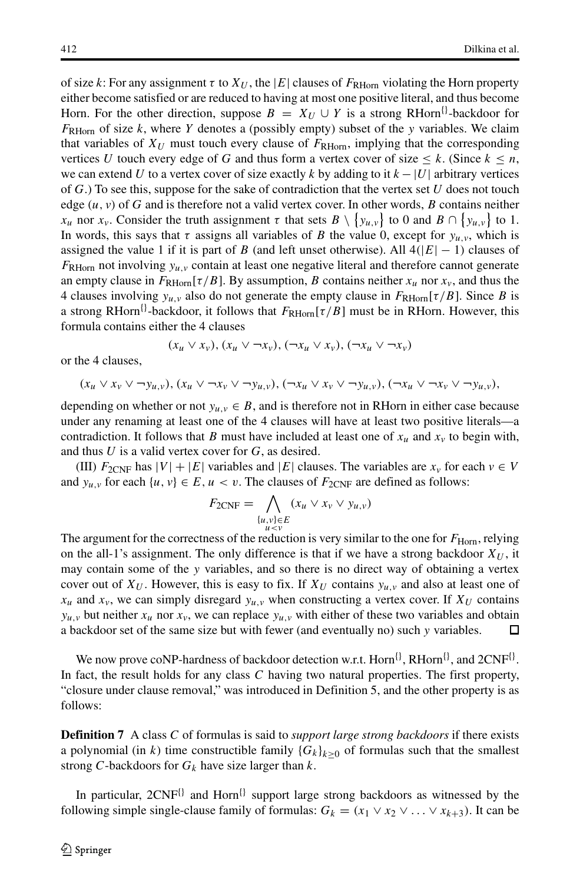of size k: For any assignment  $\tau$  to  $X_U$ , the |E| clauses of  $F_{\rm RHorn}$  violating the Horn property either become satisfied or are reduced to having at most one positive literal, and thus become Horn. For the other direction, suppose  $B = X_U \cup Y$  is a strong RHorn<sup>{{}-</sup>backdoor for  $F_{\text{RHorn}}$  of size k, where Y denotes a (possibly empty) subset of the y variables. We claim that variables of  $X_U$  must touch every clause of  $F_{\rm RHorn}$ , implying that the corresponding vertices U touch every edge of G and thus form a vertex cover of size  $\leq k$ . (Since  $k \leq n$ , we can extend U to a vertex cover of size exactly k by adding to it  $k - |U|$  arbitrary vertices of  $G$ .) To see this, suppose for the sake of contradiction that the vertex set  $U$  does not touch edge  $(u, v)$  of G and is therefore not a valid vertex cover. In other words, B contains neither  $x_u$  nor  $x_v$ . Consider the truth assignment  $\tau$  that sets  $B \setminus \{y_{u,v}\}$  to 0 and  $B \cap \{y_{u,v}\}$  to 1.<br>In words, this says that  $\tau$  assigns all variables of *R* the value 0, except for  $y_{u,v}$  which is  $y_{u,v}$  to 0 and  $B \cap \{y_{u,v}\}$ <br>alue 0 except for  $y_{u,v}$  w In words, this says that  $\tau$  assigns all variables of B the value 0, except for  $y_{u,v}$ , which is<br>assigned the value 1 if it is part of B (and left unset otherwise) All  $A(|E| = 1)$  clauses of assigned the value 1 if it is part of B (and left unset otherwise). All  $4(|E| - 1)$  clauses of  $F_{\rm RHorn}$  not involving  $y_{\mu,\nu}$  contain at least one negative literal and therefore cannot generate an empty clause in  $F_{\text{RHorn}}[\tau/B]$ . By assumption, B contains neither  $x_u$  nor  $x_v$ , and thus the 4 clauses involving  $y_{u,v}$  also do not generate the empty clause in  $F_{\text{RHorn}}[\tau/B]$ . Since B is a strong RHorn<sup>{{}-backdoor, it follows that  $F_{\rm RHorn}[\tau/B]$  must be in RHorn. However, this</sup> formula contains either the 4 clauses

$$
(x_u \vee x_v), (x_u \vee \neg x_v), (\neg x_u \vee x_v), (\neg x_u \vee \neg x_v)
$$

or the 4 clauses,

$$
(x_u \vee x_v \vee \neg y_{u,v}), (x_u \vee \neg x_v \vee \neg y_{u,v}), (\neg x_u \vee x_v \vee \neg y_{u,v}), (\neg x_u \vee \neg x_v \vee \neg y_{u,v}),
$$

depending on whether or not  $y_{u,v} \in B$ , and is therefore not in RHorn in either case because under any renaming at least one of the 4 clauses will have at least two positive literals—a contradiction. It follows that B must have included at least one of  $x_u$  and  $x_v$  to begin with, and thus  $U$  is a valid vertex cover for  $G$ , as desired.

(III)  $F_{2CNF}$  has  $|V| + |E|$  variables and  $|E|$  clauses. The variables are  $x<sub>v</sub>$  for each  $v \in V$ and  $y_{u,v}$  for each  $\{u, v\} \in E, u < v$ . The clauses of  $F_{2CNF}$  are defined as follows:

$$
F_{2CNF} = \bigwedge_{\substack{u,v\} \in E \ a \le v} (x_u \vee x_v \vee y_{u,v})
$$
  
see of the reduction is very simil

The argument for the correctness of the reduction is very similar to the one for  $F_{\text{Horn}}$ , relying<br>on the all-1's assignment. The only difference is that if we have a strong backdoor.  $Y_{U}$  if on the all-1's assignment. The only difference is that if we have a strong backdoor  $X_U$ , it may contain some of the y variables, and so there is no direct way of obtaining a vertex cover out of  $X_U$ . However, this is easy to fix. If  $X_U$  contains  $y_{u,v}$  and also at least one of  $x_u$  and  $x_v$ , we can simply disregard  $y_{u,v}$  when constructing a vertex cover. If  $X_U$  contains  $y_{u,v}$  but neither  $x_u$  nor  $x_v$ , we can replace  $y_{u,v}$  with either of these two variables and obtain a backdoor set of the same size but with fewer (and eventually no) such v variables. a backdoor set of the same size but with fewer (and eventually no) such y variables.

We now prove coNP-hardness of backdoor detection w.r.t. Horn ${}^{1}$ , RHorn ${}^{1}$ , and 2CNF ${}^{1}$ . In fact, the result holds for any class C having two natural properties. The first property, "closure under clause removal," was introduced in Definition 5, and the other property is as follows:

**Definition 7** A class C of formulas is said to *support large strong backdoors* if there exists a polynomial (in k) time constructible family  ${G_k}_{k>0}$  of formulas such that the smallest strong C-backdoors for  $G_k$  have size larger than k.

In particular,  $2CNF^{[]}$  and Horn<sup>{}</sup> support large strong backdoors as witnessed by the following simple single-clause family of formulas:  $G_k = (x_1 \vee x_2 \vee \ldots \vee x_{k+3})$ . It can be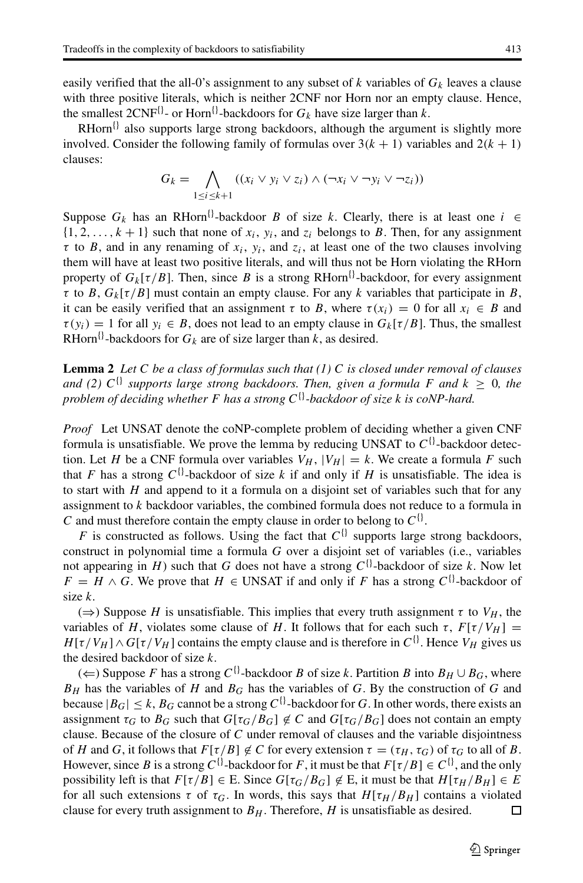RHorn ${}^{1}$  also supports large strong backdoors, although the argument is slightly more involved. Consider the following family of formulas over  $3(k + 1)$  variables and  $2(k + 1)$ clauses:

$$
G_k = \bigwedge_{1 \leq i \leq k+1} ((x_i \vee y_i \vee z_i) \wedge (\neg x_i \vee \neg y_i \vee \neg z_i))
$$

Suppose  $G_k$  has an RHorn<sup>{}</sup>-backdoor B of size k. Clearly, there is at least one  $i \in$  $\{1, 2, \ldots, k+1\}$  such that none of  $x_i$ ,  $y_i$ , and  $z_i$  belongs to B. Then, for any assignment  $\tau$  to B, and in any renaming of  $x_i$ ,  $y_i$ , and  $z_i$ , at least one of the two clauses involving them will have at least two positive literals, and will thus not be Horn violating the RHorn property of  $G_k[\tau/B]$ . Then, since B is a strong RHorn<sup>{}</sup>-backdoor, for every assignment  $\tau$  to B,  $G_k[\tau/B]$  must contain an empty clause. For any k variables that participate in B, it can be easily verified that an assignment  $\tau$  to B, where  $\tau(x_i) = 0$  for all  $x_i \in B$  and  $\tau(y_i) = 1$  for all  $y_i \in B$ , does not lead to an empty clause in  $G_k[\tau/B]$ . Thus, the smallest RHorn<sup>{}</sup>-backdoors for  $G_k$  are of size larger than k, as desired.

**Lemma 2** *Let* C *be a class of formulas such that (1)* C *is closed under removal of clauses and (2)*  $C^{\{\}}$  *supports large strong backdoors. Then, given a formula* F *and*  $k \geq 0$ *, the problem of deciding whether* <sup>F</sup> *has a strong* <sup>C</sup>{}*-backdoor of size* k *is coNP-hard.*

*Proof* Let UNSAT denote the coNP-complete problem of deciding whether a given CNF formula is unsatisfiable. We prove the lemma by reducing UNSAT to  $C^{\{ \}}$ -backdoor detection. Let H be a CNF formula over variables  $V_H$ ,  $|V_H| = k$ . We create a formula F such that F has a strong  $C^{i}$ -backdoor of size k if and only if H is unsatisfiable. The idea is to start with  $H$  and append to it a formula on a disjoint set of variables such that for any assignment to  $k$  backdoor variables, the combined formula does not reduce to a formula in C and must therefore contain the empty clause in order to belong to  $C^{\{ \}}$ .

F is constructed as follows. Using the fact that  $C^{1}$  supports large strong backdoors, construct in polynomial time a formula G over a disjoint set of variables (i.e., variables not appearing in H) such that G does not have a strong  $C^{\{\}}$ -backdoor of size k. Now let  $F = H \wedge G$ . We prove that  $H \in \text{UNSAT}$  if and only if F has a strong  $C^{\{ \}}$ -backdoor of size k.

 $(\Rightarrow)$  Suppose H is unsatisfiable. This implies that every truth assignment  $\tau$  to  $V_H$ , the variables of H, violates some clause of H. It follows that for each such  $\tau$ ,  $F[\tau/V_H] =$  $H[\tau/V_H] \wedge G[\tau/V_H]$  contains the empty clause and is therefore in  $C^{\{\}}$ . Hence  $V_H$  gives us the desired backdoor of size k.

(←) Suppose F has a strong  $C^{\{\}}$ -backdoor B of size k. Partition B into  $B_H \cup B_G$ , where  $B_H$  has the variables of H and  $B_G$  has the variables of G. By the construction of G and because  $|B_G| \le k$ ,  $B_G$  cannot be a strong  $C^{ij}$ -backdoor for G. In other words, there exists an assignment  $\tau_G$  to  $B_G$  such that  $G[\tau_G/B_G] \notin C$  and  $G[\tau_G/B_G]$  does not contain an empty<br>clause. Because of the closure of C under removal of clauses and the variable disjointness clause. Because of the closure of C under removal of clauses and the variable disjointness of H and G, it follows that  $F[\tau/B] \notin C$  for every extension  $\tau = (\tau_H, \tau_G)$  of  $\tau_G$  to all of B.<br>However since B is a strong  $C\{\}$ -backdoor for E it must be that  $E[\tau/B] \in C\{\}$  and the only However, since B is a strong C<sup>{{}-</sup>backdoor for F, it must be that  $F[\tau/B] \in C^{\{}$ }, and the only possibility left is that  $F[\tau/B] \in E$ . Since  $G[\tau_G/B_G] \notin E$ , it must be that  $H[\tau_H/B_H] \in E$ <br>for all such extensions  $\tau$  of  $\tau_G$ . In words, this says that  $H[\tau_H/B_H]$  contains a violated for all such extensions  $\tau$  of  $\tau_G$ . In words, this says that  $H[\tau_H/B_H]$  contains a violated clause for every truth assignment to  $B_H$ . Therefore, H is unsatisfiable as desired. clause for every truth assignment to  $B<sub>H</sub>$ . Therefore, H is unsatisfiable as desired.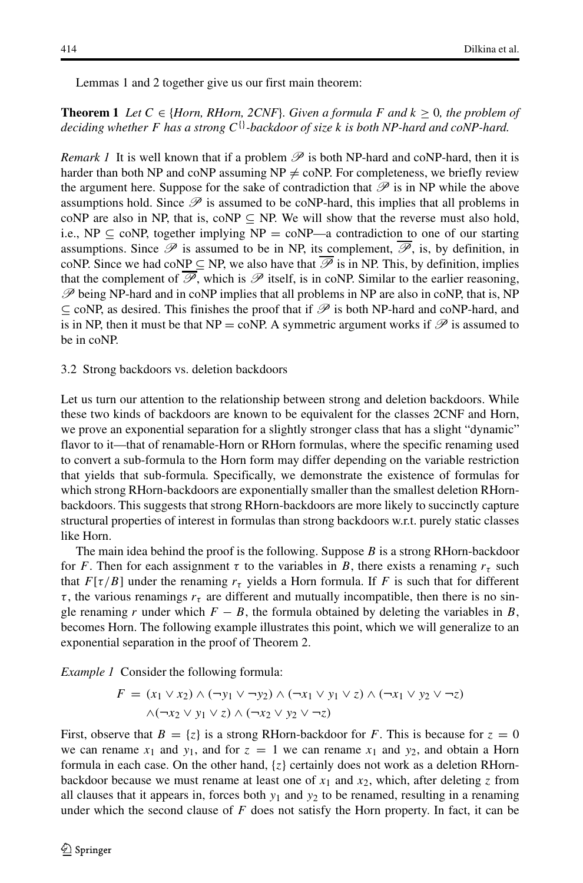Lemmas 1 and 2 together give us our first main theorem:

**Theorem 1** *Let*  $C \in \{Horn, RHorn, 2CNF\}$ *. Given a formula* F and  $k \geq 0$ *, the problem of deciding whether* F *has a strong* C{}*-backdoor of size* k *is both NP-hard and coNP-hard.*

*Remark 1* It is well known that if a problem  $\mathscr P$  is both NP-hard and coNP-hard, then it is harder than both NP and coNP assuming  $NP \neq \text{coNP}$ . For completeness, we briefly review the argument here. Suppose for the sake of contradiction that  $\mathscr P$  is in NP while the above assumptions hold. Since  $\mathscr P$  is assumed to be coNP-hard, this implies that all problems in coNP are also in NP, that is, coNP  $\subseteq$  NP. We will show that the reverse must also hold, i.e., NP  $\subseteq$  coNP, together implying NP = coNP—a contradiction to one of our starting assumptions. Since  $\mathscr P$  is assumed to be in NP, its complement,  $\mathscr P$ , is, by definition, in coNP. Since we had coNP  $\subseteq$  NP, we also have that  $\mathscr P$  is in NP. This, by definition, implies that the complement of  $\mathscr{P}$ , which is  $\mathscr{P}$  itself, is in coNP. Similar to the earlier reasoning, *P* being NP-hard and in coNP implies that all problems in NP are also in coNP, that is, NP ⊆ coNP, as desired. This finishes the proof that if *P* is both NP-hard and coNP-hard, and is in NP, then it must be that NP = coNP. A symmetric argument works if  $\mathscr P$  is assumed to be in coNP.

#### <span id="page-15-0"></span>3.2 Strong backdoors vs. deletion backdoors

Let us turn our attention to the relationship between strong and deletion backdoors. While these two kinds of backdoors are known to be equivalent for the classes 2CNF and Horn, we prove an exponential separation for a slightly stronger class that has a slight "dynamic" flavor to it—that of renamable-Horn or RHorn formulas, where the specific renaming used to convert a sub-formula to the Horn form may differ depending on the variable restriction that yields that sub-formula. Specifically, we demonstrate the existence of formulas for which strong RHorn-backdoors are exponentially smaller than the smallest deletion RHornbackdoors. This suggests that strong RHorn-backdoors are more likely to succinctly capture structural properties of interest in formulas than strong backdoors w.r.t. purely static classes like Horn.

The main idea behind the proof is the following. Suppose  $B$  is a strong RHorn-backdoor for F. Then for each assignment  $\tau$  to the variables in B, there exists a renaming  $r_{\tau}$  such that  $F[\tau/B]$  under the renaming  $r_{\tau}$  yields a Horn formula. If F is such that for different  $\tau$ , the various renamings  $r<sub>\tau</sub>$  are different and mutually incompatible, then there is no single renaming r under which  $F - B$ , the formula obtained by deleting the variables in B, becomes Horn. The following example illustrates this point, which we will generalize to an exponential separation in the proof of Theorem 2.

*Example 1* Consider the following formula:

$$
F = (x_1 \vee x_2) \wedge (\neg y_1 \vee \neg y_2) \wedge (\neg x_1 \vee y_1 \vee z) \wedge (\neg x_1 \vee y_2 \vee \neg z)
$$
  
 
$$
\wedge (\neg x_2 \vee y_1 \vee z) \wedge (\neg x_2 \vee y_2 \vee \neg z)
$$

First, observe that  $B = \{z\}$  is a strong RHorn-backdoor for F. This is because for  $z = 0$ we can rename  $x_1$  and  $y_1$ , and for  $z = 1$  we can rename  $x_1$  and  $y_2$ , and obtain a Horn formula in each case. On the other hand,  $\{z\}$  certainly does not work as a deletion RHornbackdoor because we must rename at least one of  $x_1$  and  $x_2$ , which, after deleting z from all clauses that it appears in, forces both  $y_1$  and  $y_2$  to be renamed, resulting in a renaming under which the second clause of  $F$  does not satisfy the Horn property. In fact, it can be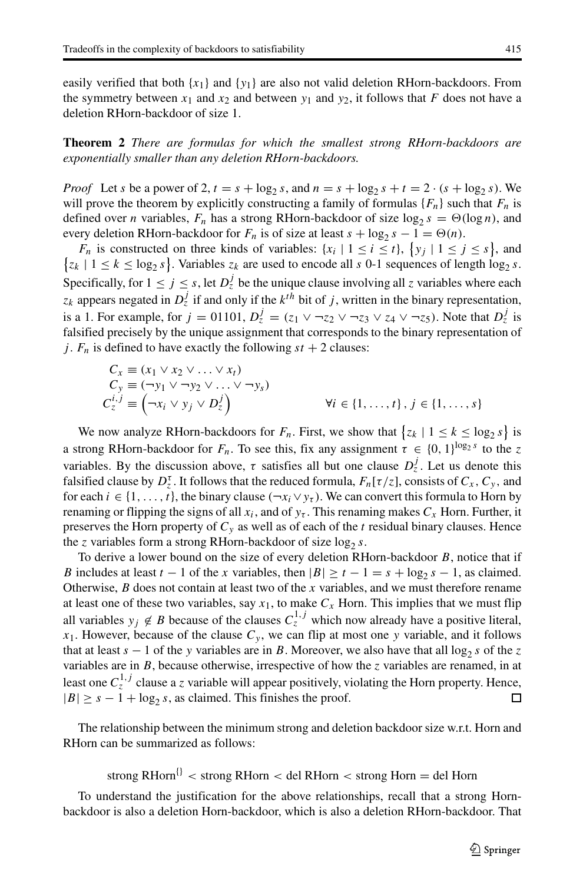easily verified that both  $\{x_1\}$  and  $\{y_1\}$  are also not valid deletion RHorn-backdoors. From the symmetry between  $x_1$  and  $x_2$  and between  $y_1$  and  $y_2$ , it follows that F does not have a deletion RHorn-backdoor of size 1.

# **Theorem 2** *There are formulas for which the smallest strong RHorn-backdoors are exponentially smaller than any deletion RHorn-backdoors.*

*Proof* Let s be a power of 2,  $t = s + \log_2 s$ , and  $n = s + \log_2 s + t = 2 \cdot (s + \log_2 s)$ . We will prove the theorem by explicitly constructing a family of formulas  $\{F_n\}$  such that  $F_n$  is defined over *n* variables,  $F_n$  has a strong RHorn-backdoor of size log<sub>2</sub>  $s = \Theta(\log n)$ , and every deletion RHorn-backdoor for  $F_n$  is of size at least  $s + \log_2 s - 1 = \Theta(n)$ .

 $F_n$  is constructed on three kinds of variables:  $\{x_i \mid 1 \le i \le t\}$ ,  $\{y_j \mid 1 \le j \le s\}$ , and  $\{1 \le k \le \log_2 s\}$ . Variables z<sub>i</sub> are used to encode all s 0-1 sequences of length  $\log_2 s$ .  $\{z_k \mid 1 \le k \le \log_2 s\}$ . Variables  $z_k$  are used to encode all s 0-1 sequences of length  $\log_2 s$ . Specifically, for  $1 \le j \le s$ , let  $D_z^j$  be the unique clause involving all z variables where each  $\frac{1}{2}$ , appears negated in  $D_z^j$  if and only if the like high sit of it written in the hinery representation.  $z_k$  appears negated in  $D_z^j$  if and only if the  $k^{th}$  bit of j, written in the binary representation,<br>is a 1. For example, for  $i = 0.1101$ ,  $D^j = (z_1 \vee \neg z_1 \vee \neg z_2 \vee \neg z_3 \vee \neg z_4)$ . Note that  $D^j$  is is a 1. For example, for  $j = 01101$ ,  $D_z^j = (z_1 \vee \neg z_2 \vee \neg z_3 \vee z_4 \vee \neg z_5)$ . Note that  $D_z^j$  is falsified precisely by the unique assignment that corresponds to the binary representation of falsified precisely by the unique assignment that corresponds to the binary representation of j.  $F_n$  is defined to have exactly the following  $st + 2$  clauses:

$$
C_x \equiv (x_1 \lor x_2 \lor \dots \lor x_t)
$$
  
\n
$$
C_y \equiv (\neg y_1 \lor \neg y_2 \lor \dots \lor \neg y_s)
$$
  
\n
$$
C_z^{i,j} \equiv (\neg x_i \lor y_j \lor D_z^j)
$$
  
\n
$$
\forall i \in \{1, \dots, t\}, j \in \{1, \dots, s\}
$$

We now analyze RHorn-backdoors for  $F_n$ . First, we show that  $\{z_k | 1 \le k \le \log_2 s\}$  is a strong RHorn-backdoor for  $F_n$ . To see this, fix any assignment  $\tau \in \{0, 1\}^{\log_2 s}$  to the z<br>variables. By the discussion above,  $\tau$  existence all but ano alove  $D^f$ . Let us denote this variables. By the discussion above,  $\tau$  satisfies all but one clause  $D_z^j$ . Let us denote this falsified clause by  $D^{\tau}$ . It follows that the reduced formula  $F[\tau/\tau]$  consists of  $C = C$  and falsified clause by  $D_z^{\tau}$ . It follows that the reduced formula,  $F_n[\tau/z]$ , consists of  $C_x$ ,  $C_y$ , and for each  $i \in \{1, \ldots, t\}$  the binary clause  $(\neg x \vee y)$ . We can convert this formula to Horn by for each  $i \in \{1,\ldots,t\}$ , the binary clause  $(\neg x_i \lor y_{\tau})$ . We can convert this formula to Horn by renaming or flipping the signs of all  $x_i$ , and of  $y_\tau$ . This renaming makes  $C_x$  Horn. Further, it preserves the Horn property of  $C_y$  as well as of each of the t residual binary clauses. Hence the z variables form a strong RHorn-backdoor of size  $\log_2 s$ .

To derive a lower bound on the size of every deletion RHorn-backdoor  $B$ , notice that if B includes at least  $t - 1$  of the x variables, then  $|B| \ge t - 1 = s + \log_2 s - 1$ , as claimed. Otherwise,  $B$  does not contain at least two of the x variables, and we must therefore rename at least one of these two variables, say  $x_1$ , to make  $C_x$  Horn. This implies that we must flip all variables  $y_j \notin B$  because of the clauses  $C_5^{1,j}$  which now already have a positive literal,  $y_j \notin B$  because of the clause  $C$ , we can flin at most one y variable, and it follows  $x_1$ . However, because of the clause  $C_y$ , we can flip at most one y variable, and it follows that at least  $s - 1$  of the y variables are in B. Moreover, we also have that all log<sub>2</sub> s of the z variables are in  $B$ , because otherwise, irrespective of how the z variables are renamed, in at least one  $C_5^{1,j}$  clause a z variable will appear positively, violating the Horn property. Hence,  $|R| > s - 1 + \log_2 s$  as claimed. This finishes the proof  $|B| \geq s - 1 + \log_2 s$ , as claimed. This finishes the proof.

The relationship between the minimum strong and deletion backdoor size w.r.t. Horn and RHorn can be summarized as follows:

strong RHorn<sup>{}</sup> < strong RHorn < del RHorn < strong Horn = del Horn

To understand the justification for the above relationships, recall that a strong Hornbackdoor is also a deletion Horn-backdoor, which is also a deletion RHorn-backdoor. That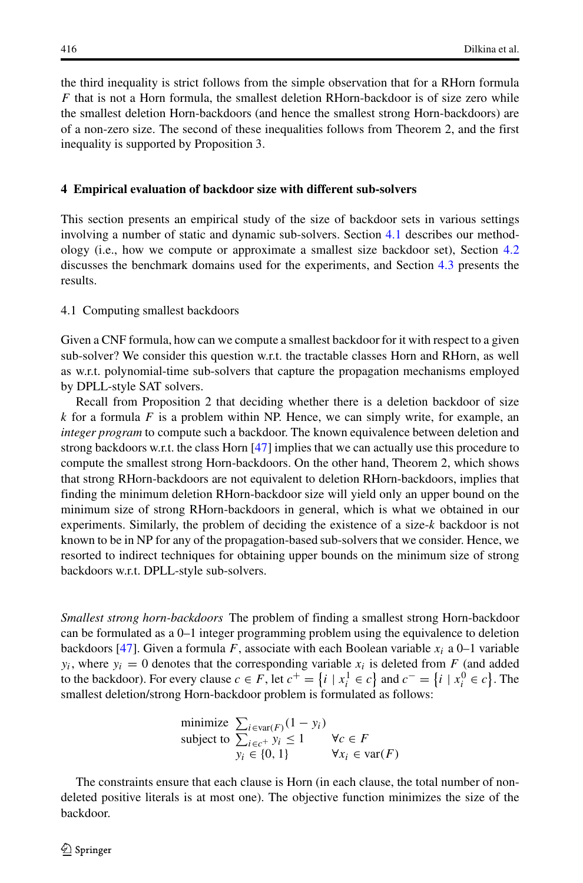the third inequality is strict follows from the simple observation that for a RHorn formula  $F$  that is not a Horn formula, the smallest deletion RHorn-backdoor is of size zero while the smallest deletion Horn-backdoors (and hence the smallest strong Horn-backdoors) are of a non-zero size. The second of these inequalities follows from Theorem 2, and the first inequality is supported by Proposition 3.

## <span id="page-17-0"></span>**4 Empirical evaluation of backdoor size with different sub-solvers**

This section presents an empirical study of the size of backdoor sets in various settings involving a number of static and dynamic sub-solvers. Section [4.1](#page-17-1) describes our methodology (i.e., how we compute or approximate a smallest size backdoor set), Section [4.2](#page-18-0) discusses the benchmark domains used for the experiments, and Section [4.3](#page-19-0) presents the results.

#### <span id="page-17-1"></span>4.1 Computing smallest backdoors

Given a CNF formula, how can we compute a smallest backdoor for it with respect to a given sub-solver? We consider this question w.r.t. the tractable classes Horn and RHorn, as well as w.r.t. polynomial-time sub-solvers that capture the propagation mechanisms employed by DPLL-style SAT solvers.

Recall from Proposition 2 that deciding whether there is a deletion backdoor of size  $k$  for a formula F is a problem within NP. Hence, we can simply write, for example, an *integer program* to compute such a backdoor. The known equivalence between deletion and strong backdoors w.r.t. the class Horn [\[47\]](#page-32-7) implies that we can actually use this procedure to compute the smallest strong Horn-backdoors. On the other hand, Theorem 2, which shows that strong RHorn-backdoors are not equivalent to deletion RHorn-backdoors, implies that finding the minimum deletion RHorn-backdoor size will yield only an upper bound on the minimum size of strong RHorn-backdoors in general, which is what we obtained in our experiments. Similarly, the problem of deciding the existence of a size-k backdoor is not known to be in NP for any of the propagation-based sub-solvers that we consider. Hence, we resorted to indirect techniques for obtaining upper bounds on the minimum size of strong backdoors w.r.t. DPLL-style sub-solvers.

*Smallest strong horn-backdoors* The problem of finding a smallest strong Horn-backdoor can be formulated as a 0–1 integer programming problem using the equivalence to deletion backdoors [\[47\]](#page-32-7). Given a formula F, associate with each Boolean variable  $x_i$  a 0–1 variable  $y_i$ , where  $y_i = 0$  denotes that the corresponding variable  $x_i$  is deleted from F (and added to the backdoor). For every clause  $c \in F$ , let  $c^+ = \{i \mid x_i^1 \in c\}$  and  $c^- = \{i \mid x_i^0 \in c\}$ . The smallest deletion/strong Horn-backdoor problem is formulated as follows: smallest deletion/strong Horn-backdoor problem is formulated as follows:

minimize 
$$
\sum_{i \in \text{var}(F)} (1 - y_i)
$$
  
subject to  $\sum_{i \in c^+} y_i \le 1$   $\forall c \in F$   
 $y_i \in \{0, 1\}$   $\forall x_i \in \text{var}(F)$ 

The constraints ensure that each clause is Horn (in each clause, the total number of nondeleted positive literals is at most one). The objective function minimizes the size of the backdoor.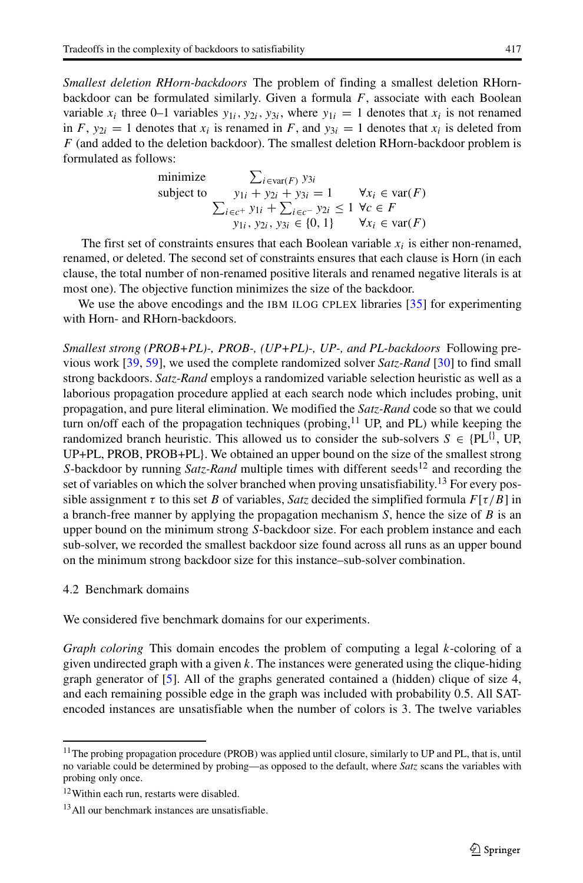*Smallest deletion RHorn-backdoors* The problem of finding a smallest deletion RHornbackdoor can be formulated similarly. Given a formula  $F$ , associate with each Boolean variable  $x_i$  three 0–1 variables  $y_{1i}$ ,  $y_{2i}$ ,  $y_{3i}$ , where  $y_{1i} = 1$  denotes that  $x_i$  is not renamed in F,  $y_{2i} = 1$  denotes that  $x_i$  is renamed in F, and  $y_{3i} = 1$  denotes that  $x_i$  is deleted from  $F$  (and added to the deletion backdoor). The smallest deletion RHorn-backdoor problem is formulated as follows:

minimize 
$$
\sum_{i \in \text{var}(F)} y_{3i}
$$
  
subject to 
$$
y_{1i} + y_{2i} + y_{3i} = 1 \qquad \forall x_i \in \text{var}(F)
$$

$$
\sum_{i \in c^+} y_{1i} + \sum_{i \in c^-} y_{2i} \le 1 \ \forall c \in F
$$

$$
y_{1i}, y_{2i}, y_{3i} \in \{0, 1\} \qquad \forall x_i \in \text{var}(F)
$$

The first set of constraints ensures that each Boolean variable  $x_i$  is either non-renamed, anned or deleted. The second set of constraints ensures that each clause is Horn (in each renamed, or deleted. The second set of constraints ensures that each clause is Horn (in each clause, the total number of non-renamed positive literals and renamed negative literals is at most one). The objective function minimizes the size of the backdoor.

We use the above encodings and the IBM ILOG CPLEX libraries [\[35\]](#page-31-21) for experimenting with Horn- and RHorn-backdoors.

*Smallest strong (PROB+PL)-, PROB-, (UP+PL)-, UP-, and PL-backdoors* Following previous work [\[39,](#page-31-17) [59\]](#page-32-2), we used the complete randomized solver *Satz-Rand* [\[30\]](#page-31-22) to find small strong backdoors. *Satz-Rand* employs a randomized variable selection heuristic as well as a laborious propagation procedure applied at each search node which includes probing, unit propagation, and pure literal elimination. We modified the *Satz-Rand* code so that we could turn on/off each of the propagation techniques (probing, $^{11}$  $^{11}$  $^{11}$  UP, and PL) while keeping the randomized branch heuristic. This allowed us to consider the sub-solvers  $S \in \{PL^{\{\}}$ , UP, UP+PL, PROB, PROB+PL}. We obtained an upper bound on the size of the smallest strong S-backdoor by running *Satz-Rand* multiple times with different seeds<sup>[12](#page-18-2)</sup> and recording the set of variables on which the solver branched when proving unsatisfiability.<sup>[13](#page-18-3)</sup> For every possible assignment  $\tau$  to this set B of variables, *Satz* decided the simplified formula  $F[\tau/B]$  in a branch-free manner by applying the propagation mechanism  $S$ , hence the size of  $B$  is an upper bound on the minimum strong S-backdoor size. For each problem instance and each sub-solver, we recorded the smallest backdoor size found across all runs as an upper bound on the minimum strong backdoor size for this instance–sub-solver combination.

# <span id="page-18-0"></span>4.2 Benchmark domains

We considered five benchmark domains for our experiments.

*Graph coloring* This domain encodes the problem of computing a legal k-coloring of a given undirected graph with a given  $k$ . The instances were generated using the clique-hiding graph generator of [\[5\]](#page-30-8). All of the graphs generated contained a (hidden) clique of size 4, and each remaining possible edge in the graph was included with probability 0.5. All SATencoded instances are unsatisfiable when the number of colors is 3. The twelve variables

<span id="page-18-1"></span><sup>&</sup>lt;sup>11</sup>The probing propagation procedure (PROB) was applied until closure, similarly to UP and PL, that is, until no variable could be determined by probing—as opposed to the default, where *Satz* scans the variables with probing only once.

<sup>&</sup>lt;sup>12</sup>Within each run, restarts were disabled.

<span id="page-18-3"></span><span id="page-18-2"></span><sup>&</sup>lt;sup>13</sup>All our benchmark instances are unsatisfiable.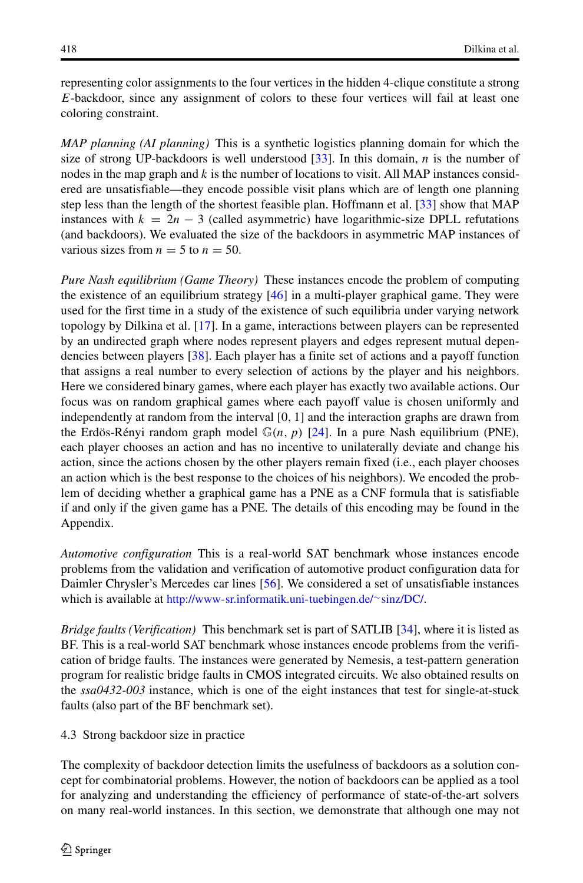representing color assignments to the four vertices in the hidden 4-clique constitute a strong E-backdoor, since any assignment of colors to these four vertices will fail at least one coloring constraint.

*MAP planning (AI planning)* This is a synthetic logistics planning domain for which the size of strong UP-backdoors is well understood [\[33\]](#page-31-23). In this domain,  $n$  is the number of nodes in the map graph and  $k$  is the number of locations to visit. All MAP instances considered are unsatisfiable—they encode possible visit plans which are of length one planning step less than the length of the shortest feasible plan. Hoffmann et al. [\[33\]](#page-31-23) show that MAP instances with  $k = 2n - 3$  (called asymmetric) have logarithmic-size DPLL refutations (and backdoors). We evaluated the size of the backdoors in asymmetric MAP instances of various sizes from  $n = 5$  to  $n = 50$ .

*Pure Nash equilibrium (Game Theory)* These instances encode the problem of computing the existence of an equilibrium strategy  $[46]$  in a multi-player graphical game. They were used for the first time in a study of the existence of such equilibria under varying network topology by Dilkina et al. [\[17\]](#page-31-24). In a game, interactions between players can be represented by an undirected graph where nodes represent players and edges represent mutual dependencies between players [\[38\]](#page-31-25). Each player has a finite set of actions and a payoff function that assigns a real number to every selection of actions by the player and his neighbors. Here we considered binary games, where each player has exactly two available actions. Our focus was on random graphical games where each payoff value is chosen uniformly and independently at random from the interval [0, <sup>1</sup>] and the interaction graphs are drawn from the Erdös-Rényi random graph model  $\mathbb{G}(n, p)$  [\[24\]](#page-31-26). In a pure Nash equilibrium (PNE), each player chooses an action and has no incentive to unilaterally deviate and change his action, since the actions chosen by the other players remain fixed (i.e., each player chooses an action which is the best response to the choices of his neighbors). We encoded the problem of deciding whether a graphical game has a PNE as a CNF formula that is satisfiable if and only if the given game has a PNE. The details of this encoding may be found in the Appendix.

*Automotive configuration* This is a real-world SAT benchmark whose instances encode problems from the validation and verification of automotive product configuration data for Daimler Chrysler's Mercedes car lines [\[56\]](#page-32-19). We considered a set of unsatisfiable instances which is available at [http://www-sr.informatik.uni-tuebingen.de/](http://www-sr.informatik.uni-tuebingen.de/~sinz/DC/)∼sinz/DC/.

*Bridge faults (Verification)* This benchmark set is part of SATLIB [\[34\]](#page-31-27), where it is listed as BF. This is a real-world SAT benchmark whose instances encode problems from the verification of bridge faults. The instances were generated by Nemesis, a test-pattern generation program for realistic bridge faults in CMOS integrated circuits. We also obtained results on the *ssa0432-003* instance, which is one of the eight instances that test for single-at-stuck faults (also part of the BF benchmark set).

<span id="page-19-0"></span>4.3 Strong backdoor size in practice

The complexity of backdoor detection limits the usefulness of backdoors as a solution concept for combinatorial problems. However, the notion of backdoors can be applied as a tool for analyzing and understanding the efficiency of performance of state-of-the-art solvers on many real-world instances. In this section, we demonstrate that although one may not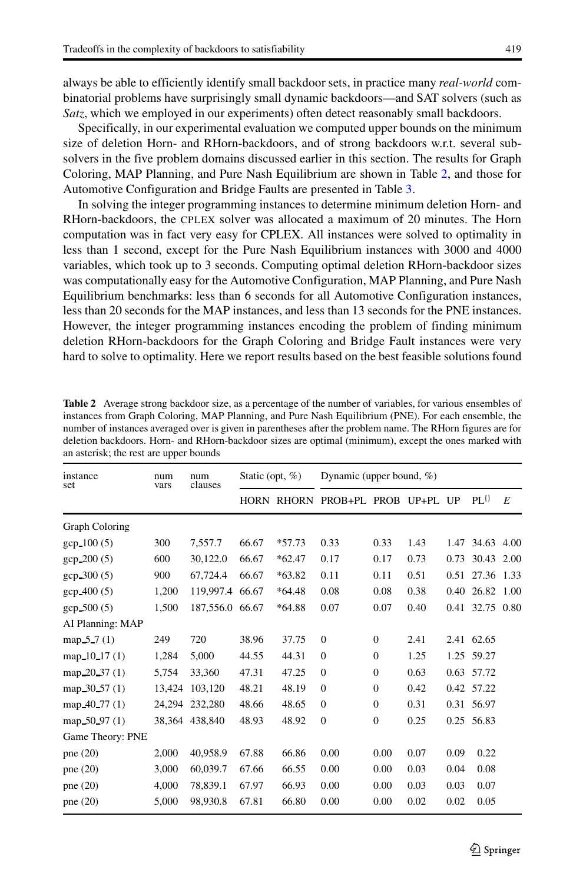always be able to efficiently identify small backdoor sets, in practice many *real-world* combinatorial problems have surprisingly small dynamic backdoors—and SAT solvers (such as *Satz*, which we employed in our experiments) often detect reasonably small backdoors.

Specifically, in our experimental evaluation we computed upper bounds on the minimum size of deletion Horn- and RHorn-backdoors, and of strong backdoors w.r.t. several subsolvers in the five problem domains discussed earlier in this section. The results for Graph Coloring, MAP Planning, and Pure Nash Equilibrium are shown in Table [2,](#page-20-0) and those for Automotive Configuration and Bridge Faults are presented in Table [3.](#page-21-0)

In solving the integer programming instances to determine minimum deletion Horn- and RHorn-backdoors, the CPLEX solver was allocated a maximum of 20 minutes. The Horn computation was in fact very easy for CPLEX. All instances were solved to optimality in less than 1 second, except for the Pure Nash Equilibrium instances with 3000 and 4000 variables, which took up to 3 seconds. Computing optimal deletion RHorn-backdoor sizes was computationally easy for the Automotive Configuration, MAP Planning, and Pure Nash Equilibrium benchmarks: less than 6 seconds for all Automotive Configuration instances, less than 20 seconds for the MAP instances, and less than 13 seconds for the PNE instances. However, the integer programming instances encoding the problem of finding minimum deletion RHorn-backdoors for the Graph Coloring and Bridge Fault instances were very hard to solve to optimality. Here we report results based on the best feasible solutions found

| xx               |             |                 |                    |          |                                  |                  |      |      |                 |   |
|------------------|-------------|-----------------|--------------------|----------|----------------------------------|------------------|------|------|-----------------|---|
| instance<br>set  | num<br>vars | num<br>clauses  | Static (opt, $%$ ) |          | Dynamic (upper bound, $\%$ )     |                  |      |      |                 |   |
|                  |             |                 |                    |          | HORN RHORN PROB+PL PROB UP+PL UP |                  |      |      | $PL^{\{ \} }$   | E |
| Graph Coloring   |             |                 |                    |          |                                  |                  |      |      |                 |   |
| gcp 100 (5)      | 300         | 7,557.7         | 66.67              | $*57.73$ | 0.33                             | 0.33             | 1.43 |      | 1.47 34.63 4.00 |   |
| gcp_200 (5)      | 600         | 30,122.0        | 66.67              | $*62.47$ | 0.17                             | 0.17             | 0.73 | 0.73 | 30.43 2.00      |   |
| gcp 300 (5)      | 900         | 67,724.4        | 66.67              | $*63.82$ | 0.11                             | 0.11             | 0.51 | 0.51 | 27.36 1.33      |   |
| gcp 400 (5)      | 1,200       | 119,997.4       | 66.67              | $*64.48$ | 0.08                             | 0.08             | 0.38 | 0.40 | 26.82 1.00      |   |
| gcp_500 (5)      | 1,500       | 187,556.0 66.67 |                    | $*64.88$ | 0.07                             | 0.07             | 0.40 |      | 0.41 32.75 0.80 |   |
| AI Planning: MAP |             |                 |                    |          |                                  |                  |      |      |                 |   |
| map $5.7(1)$     | 249         | 720             | 38.96              | 37.75    | $\overline{0}$                   | $\mathbf{0}$     | 2.41 |      | 2.41 62.65      |   |
| map $10.17(1)$   | 1,284       | 5,000           | 44.55              | 44.31    | $\theta$                         | $\mathbf{0}$     | 1.25 |      | 1.25 59.27      |   |
| map 20.37 (1)    | 5,754       | 33,360          | 47.31              | 47.25    | $\theta$                         | $\boldsymbol{0}$ | 0.63 |      | 0.63 57.72      |   |
| map 30.57 (1)    | 13,424      | 103,120         | 48.21              | 48.19    | $\theta$                         | $\mathbf{0}$     | 0.42 |      | 0.42 57.22      |   |
| map 40.77 (1)    | 24,294      | 232,280         | 48.66              | 48.65    | $\theta$                         | $\mathbf{0}$     | 0.31 |      | 0.31 56.97      |   |
| map 50_97 (1)    |             | 38,364 438,840  | 48.93              | 48.92    | $\mathbf{0}$                     | $\boldsymbol{0}$ | 0.25 |      | 0.25 56.83      |   |
| Game Theory: PNE |             |                 |                    |          |                                  |                  |      |      |                 |   |
| pne (20)         | 2,000       | 40,958.9        | 67.88              | 66.86    | 0.00                             | 0.00             | 0.07 | 0.09 | 0.22            |   |
| pne $(20)$       | 3,000       | 60,039.7        | 67.66              | 66.55    | 0.00                             | 0.00             | 0.03 | 0.04 | 0.08            |   |
| pne $(20)$       | 4,000       | 78,839.1        | 67.97              | 66.93    | 0.00                             | 0.00             | 0.03 | 0.03 | 0.07            |   |
| pne $(20)$       | 5,000       | 98,930.8        | 67.81              | 66.80    | 0.00                             | 0.00             | 0.02 | 0.02 | 0.05            |   |
|                  |             |                 |                    |          |                                  |                  |      |      |                 |   |

<span id="page-20-0"></span>**Table 2** Average strong backdoor size, as a percentage of the number of variables, for various ensembles of instances from Graph Coloring, MAP Planning, and Pure Nash Equilibrium (PNE). For each ensemble, the number of instances averaged over is given in parentheses after the problem name. The RHorn figures are for deletion backdoors. Horn- and RHorn-backdoor sizes are optimal (minimum), except the ones marked with an asterisk; the rest are upper bounds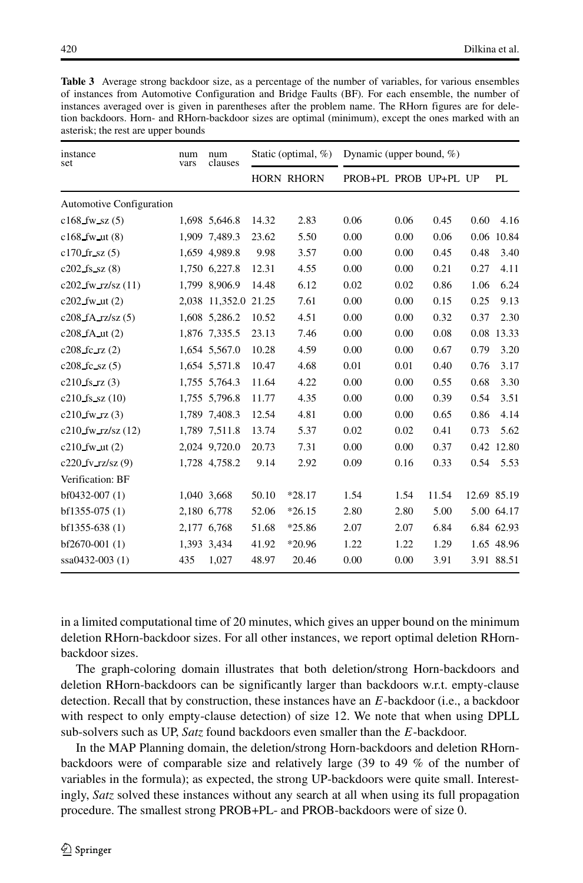<span id="page-21-0"></span>

| <b>Table 3</b> Average strong backdoor size, as a percentage of the number of variables, for various ensembles |
|----------------------------------------------------------------------------------------------------------------|
| of instances from Automotive Configuration and Bridge Faults (BF). For each ensemble, the number of            |
| instances averaged over is given in parentheses after the problem name. The RHorn figures are for dele-        |
| tion backdoors. Horn- and RHorn-backdoor sizes are optimal (minimum), except the ones marked with an           |
| asterisk; the rest are upper bounds                                                                            |

| instance<br>set                 | num<br>vars | num<br>clauses       | Static (optimal, $\%$ ) |                   | Dynamic (upper bound, $\%$ ) |      |       |             |            |
|---------------------------------|-------------|----------------------|-------------------------|-------------------|------------------------------|------|-------|-------------|------------|
|                                 |             |                      |                         | <b>HORN RHORN</b> | PROB+PL PROB UP+PL UP        |      |       |             | PL         |
| <b>Automotive Configuration</b> |             |                      |                         |                   |                              |      |       |             |            |
| $c168$ fw sz $(5)$              |             | 1,698 5,646.8        | 14.32                   | 2.83              | 0.06                         | 0.06 | 0.45  | 0.60        | 4.16       |
| $c168$ fw ut $(8)$              |             | 1.909 7.489.3        | 23.62                   | 5.50              | 0.00                         | 0.00 | 0.06  | 0.06        | 10.84      |
| $c170$ fr sz $(5)$              |             | 1,659 4,989.8        | 9.98                    | 3.57              | 0.00                         | 0.00 | 0.45  | 0.48        | 3.40       |
| $c202$ fs sz $(8)$              |             | 1,750 6,227.8        | 12.31                   | 4.55              | 0.00                         | 0.00 | 0.21  | 0.27        | 4.11       |
| $c202$ _fw_rz/sz $(11)$         |             | 1,799 8,906.9        | 14.48                   | 6.12              | 0.02                         | 0.02 | 0.86  | 1.06        | 6.24       |
| $c202$ fw ut $(2)$              |             | 2,038 11,352.0 21.25 |                         | 7.61              | 0.00                         | 0.00 | 0.15  | 0.25        | 9.13       |
| $c208_fA_rzz/sz(5)$             |             | 1,608 5,286.2        | 10.52                   | 4.51              | 0.00                         | 0.00 | 0.32  | 0.37        | 2.30       |
| $c208$ fA ut $(2)$              |             | 1,876 7,335.5        | 23.13                   | 7.46              | 0.00                         | 0.00 | 0.08  | 0.08        | 13.33      |
| $c208$ fc rz $(2)$              |             | 1.654 5.567.0        | 10.28                   | 4.59              | 0.00                         | 0.00 | 0.67  | 0.79        | 3.20       |
| $c208$ fc sz $(5)$              |             | 1,654 5,571.8        | 10.47                   | 4.68              | 0.01                         | 0.01 | 0.40  | 0.76        | 3.17       |
| $c210$ fs rz $(3)$              |             | 1,755 5,764.3        | 11.64                   | 4.22              | 0.00                         | 0.00 | 0.55  | 0.68        | 3.30       |
| $c210$ fs sz $(10)$             |             | 1,755 5,796.8        | 11.77                   | 4.35              | 0.00                         | 0.00 | 0.39  | 0.54        | 3.51       |
| $c210$ fw rz $(3)$              |             | 1,789 7,408.3        | 12.54                   | 4.81              | 0.00                         | 0.00 | 0.65  | 0.86        | 4.14       |
| $c210$ _fw_rz/sz $(12)$         |             | 1,789 7,511.8        | 13.74                   | 5.37              | 0.02                         | 0.02 | 0.41  | 0.73        | 5.62       |
| $c210$ fw ut $(2)$              |             | 2,024 9,720.0        | 20.73                   | 7.31              | 0.00                         | 0.00 | 0.37  | 0.42        | 12.80      |
| $c220$ fv rz/sz $(9)$           |             | 1,728 4,758.2        | 9.14                    | 2.92              | 0.09                         | 0.16 | 0.33  | 0.54        | 5.53       |
| Verification: BF                |             |                      |                         |                   |                              |      |       |             |            |
| $bf0432-007(1)$                 |             | 1,040 3,668          | 50.10                   | $*28.17$          | 1.54                         | 1.54 | 11.54 | 12.69 85.19 |            |
| $bf1355-075(1)$                 |             | 2,180 6,778          | 52.06                   | $*26.15$          | 2.80                         | 2.80 | 5.00  |             | 5.00 64.17 |
| $bf1355-638(1)$                 |             | 2,177 6,768          | 51.68                   | $*25.86$          | 2.07                         | 2.07 | 6.84  |             | 6.84 62.93 |
| $bf2670-001(1)$                 |             | 1,393 3,434          | 41.92                   | *20.96            | 1.22                         | 1.22 | 1.29  |             | 1.65 48.96 |
| ssa0432-003 (1)                 | 435         | 1,027                | 48.97                   | 20.46             | 0.00                         | 0.00 | 3.91  |             | 3.91 88.51 |

in a limited computational time of 20 minutes, which gives an upper bound on the minimum deletion RHorn-backdoor sizes. For all other instances, we report optimal deletion RHornbackdoor sizes.

The graph-coloring domain illustrates that both deletion/strong Horn-backdoors and deletion RHorn-backdoors can be significantly larger than backdoors w.r.t. empty-clause detection. Recall that by construction, these instances have an E-backdoor (i.e., a backdoor with respect to only empty-clause detection) of size 12. We note that when using DPLL sub-solvers such as UP, *Satz* found backdoors even smaller than the E-backdoor.

In the MAP Planning domain, the deletion/strong Horn-backdoors and deletion RHornbackdoors were of comparable size and relatively large (39 to 49 % of the number of variables in the formula); as expected, the strong UP-backdoors were quite small. Interestingly, *Satz* solved these instances without any search at all when using its full propagation procedure. The smallest strong PROB+PL- and PROB-backdoors were of size 0.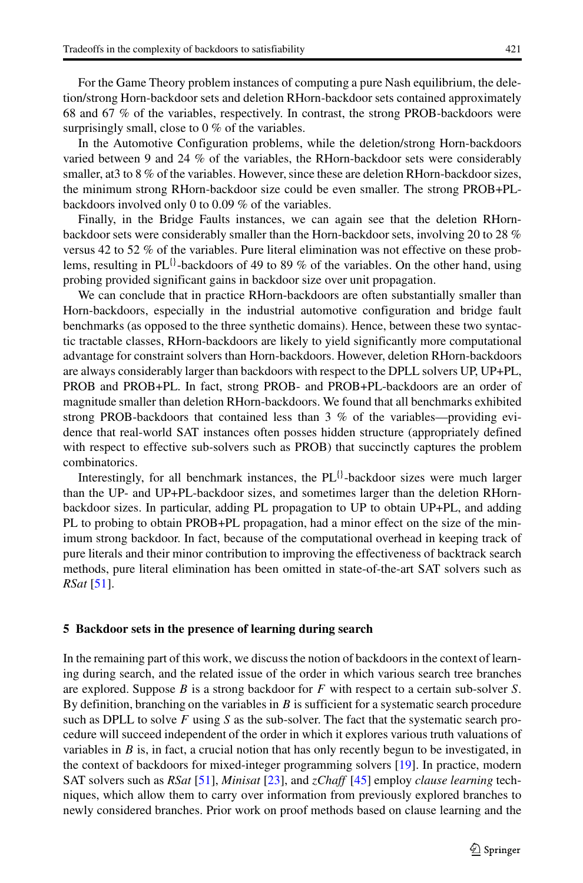For the Game Theory problem instances of computing a pure Nash equilibrium, the deletion/strong Horn-backdoor sets and deletion RHorn-backdoor sets contained approximately 68 and 67 % of the variables, respectively. In contrast, the strong PROB-backdoors were surprisingly small, close to 0 % of the variables.

In the Automotive Configuration problems, while the deletion/strong Horn-backdoors varied between 9 and 24 % of the variables, the RHorn-backdoor sets were considerably smaller, at 3 to 8 % of the variables. However, since these are deletion RHorn-backdoor sizes, the minimum strong RHorn-backdoor size could be even smaller. The strong PROB+PLbackdoors involved only 0 to 0.09 % of the variables.

Finally, in the Bridge Faults instances, we can again see that the deletion RHornbackdoor sets were considerably smaller than the Horn-backdoor sets, involving 20 to 28 % versus 42 to 52 % of the variables. Pure literal elimination was not effective on these problems, resulting in PL $\{$ <sup>1</sup>-backdoors of 49 to 89 % of the variables. On the other hand, using probing provided significant gains in backdoor size over unit propagation.

We can conclude that in practice RHorn-backdoors are often substantially smaller than Horn-backdoors, especially in the industrial automotive configuration and bridge fault benchmarks (as opposed to the three synthetic domains). Hence, between these two syntactic tractable classes, RHorn-backdoors are likely to yield significantly more computational advantage for constraint solvers than Horn-backdoors. However, deletion RHorn-backdoors are always considerably larger than backdoors with respect to the DPLL solvers UP, UP+PL, PROB and PROB+PL. In fact, strong PROB- and PROB+PL-backdoors are an order of magnitude smaller than deletion RHorn-backdoors. We found that all benchmarks exhibited strong PROB-backdoors that contained less than 3 % of the variables—providing evidence that real-world SAT instances often posses hidden structure (appropriately defined with respect to effective sub-solvers such as PROB) that succinctly captures the problem combinatorics.

Interestingly, for all benchmark instances, the  $PL^{\{1\}}$ -backdoor sizes were much larger than the UP- and UP+PL-backdoor sizes, and sometimes larger than the deletion RHornbackdoor sizes. In particular, adding PL propagation to UP to obtain UP+PL, and adding PL to probing to obtain PROB+PL propagation, had a minor effect on the size of the minimum strong backdoor. In fact, because of the computational overhead in keeping track of pure literals and their minor contribution to improving the effectiveness of backtrack search methods, pure literal elimination has been omitted in state-of-the-art SAT solvers such as *RSat* [\[51\]](#page-32-11).

# <span id="page-22-0"></span>**5 Backdoor sets in the presence of learning during search**

In the remaining part of this work, we discuss the notion of backdoors in the context of learning during search, and the related issue of the order in which various search tree branches are explored. Suppose  $B$  is a strong backdoor for  $F$  with respect to a certain sub-solver  $S$ . By definition, branching on the variables in  $B$  is sufficient for a systematic search procedure such as DPLL to solve  $F$  using  $S$  as the sub-solver. The fact that the systematic search procedure will succeed independent of the order in which it explores various truth valuations of variables in  $B$  is, in fact, a crucial notion that has only recently begun to be investigated, in the context of backdoors for mixed-integer programming solvers [\[19\]](#page-31-9). In practice, modern SAT solvers such as *RSat* [\[51\]](#page-32-11), *Minisat* [\[23\]](#page-31-12), and *zChaff* [\[45\]](#page-32-10) employ *clause learning* techniques, which allow them to carry over information from previously explored branches to newly considered branches. Prior work on proof methods based on clause learning and the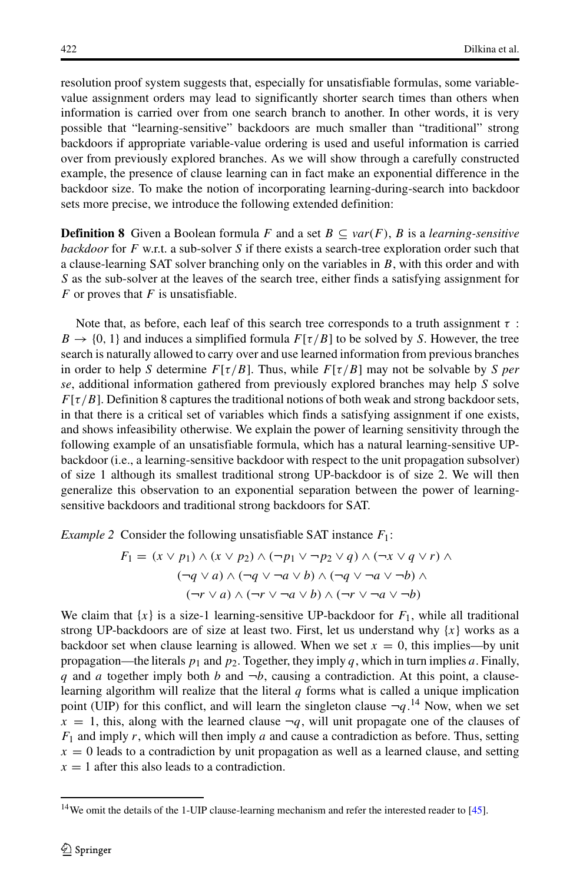resolution proof system suggests that, especially for unsatisfiable formulas, some variablevalue assignment orders may lead to significantly shorter search times than others when information is carried over from one search branch to another. In other words, it is very possible that "learning-sensitive" backdoors are much smaller than "traditional" strong backdoors if appropriate variable-value ordering is used and useful information is carried over from previously explored branches. As we will show through a carefully constructed example, the presence of clause learning can in fact make an exponential difference in the backdoor size. To make the notion of incorporating learning-during-search into backdoor sets more precise, we introduce the following extended definition:

**Definition 8** Given a Boolean formula F and a set  $B \subseteq \text{var}(F)$ , B is a *learning-sensitive backdoor* for F w.r.t. a sub-solver S if there exists a search-tree exploration order such that a clause-learning SAT solver branching only on the variables in B, with this order and with S as the sub-solver at the leaves of the search tree, either finds a satisfying assignment for  $F$  or proves that  $F$  is unsatisfiable.

Note that, as before, each leaf of this search tree corresponds to a truth assignment  $\tau$ :  $B \to \{0, 1\}$  and induces a simplified formula  $F[\tau/B]$  to be solved by S. However, the tree search is naturally allowed to carry over and use learned information from previous branches in order to help S determine  $F[\tau/B]$ . Thus, while  $F[\tau/B]$  may not be solvable by S *per se*, additional information gathered from previously explored branches may help S solve  $F[\tau/B]$ . Definition 8 captures the traditional notions of both weak and strong backdoor sets, in that there is a critical set of variables which finds a satisfying assignment if one exists, and shows infeasibility otherwise. We explain the power of learning sensitivity through the following example of an unsatisfiable formula, which has a natural learning-sensitive UPbackdoor (i.e., a learning-sensitive backdoor with respect to the unit propagation subsolver) of size 1 although its smallest traditional strong UP-backdoor is of size 2. We will then generalize this observation to an exponential separation between the power of learningsensitive backdoors and traditional strong backdoors for SAT.

*Example 2* Consider the following unsatisfiable SAT instance  $F_1$ :

$$
F_1 = (x \lor p_1) \land (x \lor p_2) \land (\neg p_1 \lor \neg p_2 \lor q) \land (\neg x \lor q \lor r) \land
$$
  
\n
$$
(\neg q \lor a) \land (\neg q \lor \neg a \lor b) \land (\neg q \lor \neg a \lor \neg b) \land
$$
  
\n
$$
(\neg r \lor a) \land (\neg r \lor \neg a \lor b) \land (\neg r \lor \neg a \lor \neg b)
$$

We claim that  $\{x\}$  is a size-1 learning-sensitive UP-backdoor for  $F_1$ , while all traditional strong UP-backdoors are of size at least two. First, let us understand why  $\{x\}$  works as a backdoor set when clause learning is allowed. When we set  $x = 0$ , this implies—by unit propagation—the literals  $p_1$  and  $p_2$ . Together, they imply q, which in turn implies a. Finally, q and a together imply both b and  $\neg b$ , causing a contradiction. At this point, a clauselearning algorithm will realize that the literal  $q$  forms what is called a unique implication point (UIP) for this conflict, and will learn the singleton clause  $-q^{14}$  $-q^{14}$  $-q^{14}$ . Now, when we set  $x = 1$  this along with the learned clause  $\pi q$  will unit propagate one of the clauses of  $x = 1$ , this, along with the learned clause  $\neg q$ , will unit propagate one of the clauses of  $F_1$  and imply r, which will then imply a and cause a contradiction as before. Thus, setting  $x = 0$  leads to a contradiction by unit propagation as well as a learned clause, and setting  $x = 1$  after this also leads to a contradiction.

<span id="page-23-0"></span><sup>&</sup>lt;sup>14</sup>We omit the details of the 1-UIP clause-learning mechanism and refer the interested reader to [\[45\]](#page-32-10).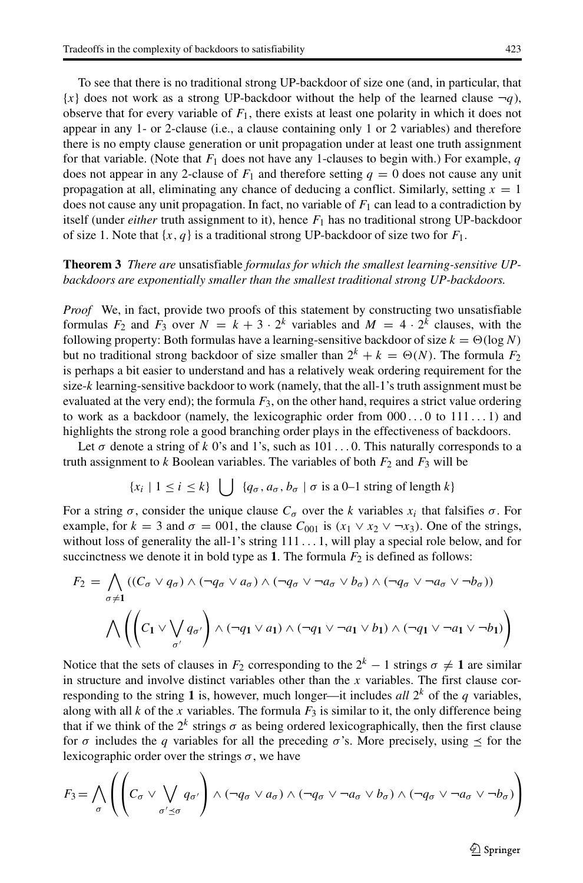To see that there is no traditional strong UP-backdoor of size one (and, in particular, that  $\{x\}$  does not work as a strong UP-backdoor without the help of the learned clause  $\neg q$ ), observe that for every variable of  $F_1$ , there exists at least one polarity in which it does not appear in any 1- or 2-clause (i.e., a clause containing only 1 or 2 variables) and therefore there is no empty clause generation or unit propagation under at least one truth assignment for that variable. (Note that  $F_1$  does not have any 1-clauses to begin with.) For example, q does not appear in any 2-clause of  $F_1$  and therefore setting  $q = 0$  does not cause any unit propagation at all, eliminating any chance of deducing a conflict. Similarly, setting  $x = 1$ does not cause any unit propagation. In fact, no variable of  $F_1$  can lead to a contradiction by itself (under *either* truth assignment to it), hence  $F_1$  has no traditional strong UP-backdoor of size 1. Note that  $\{x, q\}$  is a traditional strong UP-backdoor of size two for  $F_1$ .

# **Theorem 3** *There are* unsatisfiable *formulas for which the smallest learning-sensitive UPbackdoors are exponentially smaller than the smallest traditional strong UP-backdoors.*

*Proof* We, in fact, provide two proofs of this statement by constructing two unsatisfiable formulas  $F_2$  and  $F_3$  over  $N = k + 3 \cdot 2^k$  variables and  $M = 4 \cdot 2^k$  clauses, with the following property: Both formulas have a learning-sensitive backdoor of size  $k = \Theta(\log N)$ but no traditional strong backdoor of size smaller than  $2^k + k = \Theta(N)$ . The formula  $F_2$ is perhaps a bit easier to understand and has a relatively weak ordering requirement for the size- $k$  learning-sensitive backdoor to work (namely, that the all-1's truth assignment must be evaluated at the very end); the formula  $F_3$ , on the other hand, requires a strict value ordering to work as a backdoor (namely, the lexicographic order from  $000...0$  to  $111...1$ ) and highlights the strong role a good branching order plays in the effectiveness of backdoors.

Let  $\sigma$  denote a string of k 0's and 1's, such as 101...0. This naturally corresponds to a truth assignment to k Boolean variables. The variables of both  $F_2$  and  $F_3$  will be

$$
\{x_i \mid 1 \le i \le k\} \quad \bigcup \quad \{q_\sigma, a_\sigma, b_\sigma \mid \sigma \text{ is a 0-1 string of length } k\}
$$

For a string  $\sigma$ , consider the unique clause  $C_{\sigma}$  over the k variables  $x_i$  that falsifies  $\sigma$ . For example, for  $k = 3$  and  $\sigma = 001$ , the clause  $C_{001}$  is  $(x_1 \vee x_2 \vee \neg x_3)$ . One of the strings, without loss of generality the all-1's string  $111...1$ , will play a special role below, and for succinctness we denote it in bold type as **1**. The formula  $F_2$  is defined as follows:

$$
F_2 = \bigwedge_{\sigma \neq 1} ((C_{\sigma} \vee q_{\sigma}) \wedge (\neg q_{\sigma} \vee a_{\sigma}) \wedge (\neg q_{\sigma} \vee \neg a_{\sigma} \vee b_{\sigma}) \wedge (\neg q_{\sigma} \vee \neg a_{\sigma} \vee \neg b_{\sigma}))
$$

$$
\bigwedge \left( \left( C_1 \vee \bigvee_{\sigma'} q_{\sigma'} \right) \wedge (\neg q_1 \vee a_1) \wedge (\neg q_1 \vee \neg a_1 \vee b_1) \wedge (\neg q_1 \vee \neg a_1 \vee \neg b_1) \right)
$$

Notice that the sets of clauses in  $F_2$  corresponding to the  $2^k - 1$  strings  $\sigma \neq 1$  are similar in structure and involve distinct variables other than the x variables. The first clause conin structure and involve distinct variables other than the  $x$  variables. The first clause corresponding to the string 1 is, however, much longer—it includes *all*  $2^k$  of the q variables, along with all k of the x variables. The formula  $F_3$  is similar to it, the only difference being that if we think of the  $2^k$  strings  $\sigma$  as being ordered lexicographically, then the first clause for  $\sigma$  includes the q variables for all the preceding  $\sigma$ 's. More precisely, using  $\leq$  for the lexicographic order over the strings  $\sigma$ , we have

$$
F_3 = \bigwedge_{\sigma} \left( \left( C_{\sigma} \vee \bigvee_{\sigma' \preceq \sigma} q_{\sigma'} \right) \wedge (\neg q_{\sigma} \vee a_{\sigma}) \wedge (\neg q_{\sigma} \vee \neg a_{\sigma} \vee b_{\sigma}) \wedge (\neg q_{\sigma} \vee \neg a_{\sigma} \vee \neg b_{\sigma}) \right)
$$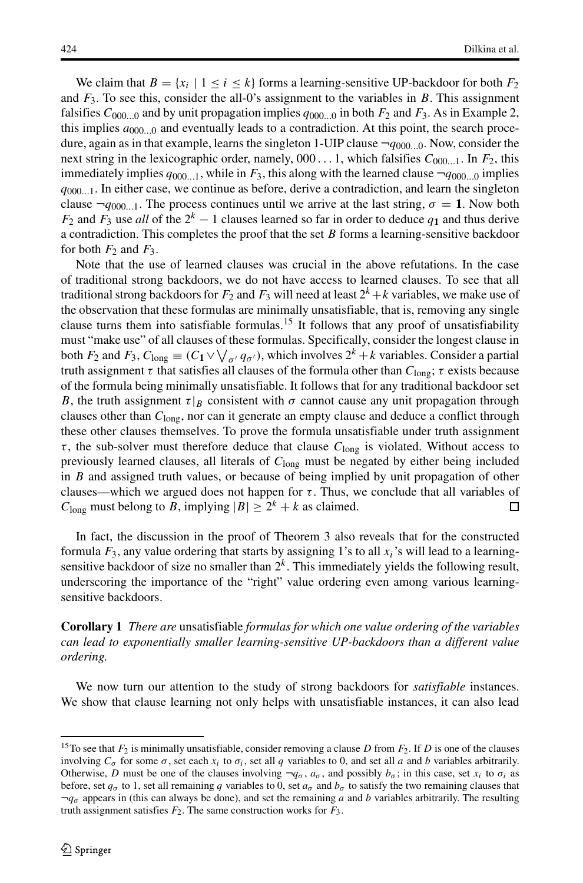We claim that  $B = \{x_i \mid 1 \le i \le k\}$  forms a learning-sensitive UP-backdoor for both  $F_2$ and  $F_3$ . To see this, consider the all-0's assignment to the variables in B. This assignment falsifies  $C_{000...0}$  and by unit propagation implies  $q_{000...0}$  in both  $F_2$  and  $F_3$ . As in Example 2, this implies  $a_{000...0}$  and eventually leads to a contradiction. At this point, the search procedure, again as in that example, learns the singleton 1-UIP clause  $\neg q_{000...0}$ . Now, consider the next string in the lexicographic order, namely,  $000...1$ , which falsifies  $C_{000...1}$ . In  $F_2$ , this immediately implies  $q_{000...1}$ , while in  $F_3$ , this along with the learned clause  $\neg q_{000...0}$  implies  $q_{000...1}$ . In either case, we continue as before, derive a contradiction, and learn the singleton clause  $\neg q_{000...1}$ . The process continues until we arrive at the last string,  $\sigma = 1$ . Now both  $F_2$  and  $F_3$  use *all* of the  $2^k - 1$  clauses learned so far in order to deduce  $q_1$  and thus derive a contradiction. This completes the proof that the set  $B$  forms a learning-sensitive backdoor for both  $F_2$  and  $F_3$ .

Note that the use of learned clauses was crucial in the above refutations. In the case of traditional strong backdoors, we do not have access to learned clauses. To see that all traditional strong backdoors for  $F_2$  and  $F_3$  will need at least  $2^k + k$  variables, we make use of the observation that these formulas are minimally unsatisfiable, that is, removing any single clause turns them into satisfiable formulas.<sup>[15](#page-25-0)</sup> It follows that any proof of unsatisfiability must "make use" of all clauses of these formulas. Specifically, consider the longest clause in both  $F_2$  and  $F_3$ ,  $C_{\text{long}} \equiv (C_1 \vee \bigvee_{\sigma'} q_{\sigma'})$ , which involves  $2^k + k$  variables. Consider a partial truth assignment  $\tau$  that satisfies all clauses of the formula other than  $C_{\text{long}}$ ;  $\tau$  exists because truth assignment  $\tau$  that satisfies all clauses of the formula other than  $C_{\text{long}}$ ;  $\tau$  exists because of the formula being minimally unsatisfiable. It follows that for any traditional backdoor set B, the truth assignment  $\tau|_B$  consistent with  $\sigma$  cannot cause any unit propagation through clauses other than  $C_{\text{long}}$ , nor can it generate an empty clause and deduce a conflict through these other clauses themselves. To prove the formula unsatisfiable under truth assignment  $\tau$ , the sub-solver must therefore deduce that clause  $C_{\text{long}}$  is violated. Without access to previously learned clauses, all literals of  $C<sub>long</sub>$  must be negated by either being included in B and assigned truth values, or because of being implied by unit propagation of other clauses—which we argued does not happen for  $\tau$ . Thus, we conclude that all variables of  $C_{\text{long}}$  must belong to  $B$ , implying  $|B| > 2^k + k$  as claimed.  $C_{\text{long}}$  must belong to B, implying  $|B| \ge 2^k + k$  as claimed.

In fact, the discussion in the proof of Theorem 3 also reveals that for the constructed formula  $F_3$ , any value ordering that starts by assigning 1's to all  $x_i$ 's will lead to a learningsensitive backdoor of size no smaller than  $2<sup>k</sup>$ . This immediately yields the following result, underscoring the importance of the "right" value ordering even among various learningsensitive backdoors.

**Corollary 1** *There are* unsatisfiable *formulas for which one value ordering of the variables can lead to exponentially smaller learning-sensitive UP-backdoors than a different value ordering.*

We now turn our attention to the study of strong backdoors for *satisfiable* instances. We show that clause learning not only helps with unsatisfiable instances, it can also lead

<span id="page-25-0"></span><sup>&</sup>lt;sup>15</sup>To see that  $F_2$  is minimally unsatisfiable, consider removing a clause D from  $F_2$ . If D is one of the clauses involving  $C_{\sigma}$  for some  $\sigma$ , set each  $x_i$  to  $\sigma_i$ , set all q variables to 0, and set all a and b variables arbitrarily. Otherwise, D must be one of the clauses involving  $\neg q_{\sigma}$ ,  $a_{\sigma}$ , and possibly  $b_{\sigma}$ ; in this case, set  $x_i$  to  $\sigma_i$  as before, set  $q_{\sigma}$  to 1, set all remaining q variables to 0, set  $a_{\sigma}$  and  $b_{\sigma}$  to satisfy the two remaining clauses that  $\neg q_{\sigma}$  appears in (this can always be done), and set the remaining a and b variables arbitrarily. The resulting truth assignment satisfies  $F_2$ . The same construction works for  $F_3$ .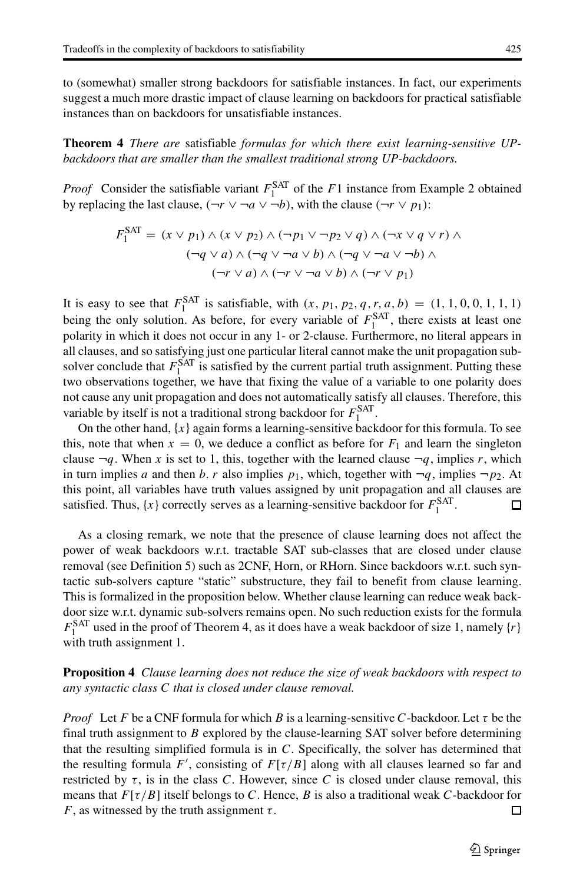to (somewhat) smaller strong backdoors for satisfiable instances. In fact, our experiments suggest a much more drastic impact of clause learning on backdoors for practical satisfiable instances than on backdoors for unsatisfiable instances.

**Theorem 4** *There are* satisfiable *formulas for which there exist learning-sensitive UPbackdoors that are smaller than the smallest traditional strong UP-backdoors.*

*Proof* Consider the satisfiable variant  $F_1^{\text{SAT}}$  of the F1 instance from Example 2 obtained<br>by replacing the last clause  $(-r \vee \neg a \vee \neg b)$ , with the clause  $(-r \vee n)$ . by replacing the last clause,  $(\neg r \lor \neg a \lor \neg b)$ , with the clause  $(\neg r \lor p_1)$ :

$$
F_1^{\text{SAT}} = (x \lor p_1) \land (x \lor p_2) \land (\neg p_1 \lor \neg p_2 \lor q) \land (\neg x \lor q \lor r) \land
$$
  
\n
$$
(\neg q \lor a) \land (\neg q \lor \neg a \lor b) \land (\neg q \lor \neg a \lor \neg b) \land
$$
  
\n
$$
(\neg r \lor a) \land (\neg r \lor \neg a \lor b) \land (\neg r \lor p_1)
$$

It is easy to see that  $F_1^{\text{SAT}}$  is satisfiable, with  $(x, p_1, p_2, q, r, a, b) = (1, 1, 0, 0, 1, 1, 1)$ being the only solution. As before, for every variable of  $F_1^{\text{SAT}}$ , there exists at least one polarity in which it does not occur in any 1, or 2-clause. Furthermore, no literal appears in polarity in which it does not occur in any 1- or 2-clause. Furthermore, no literal appears in all clauses, and so satisfying just one particular literal cannot make the unit propagation subsolver conclude that  $F_1^{\text{SAT}}$  is satisfied by the current partial truth assignment. Putting these<br>two observations together, we have that fixing the value of a variable to one polarity does two observations together, we have that fixing the value of a variable to one polarity does not cause any unit propagation and does not automatically satisfy all clauses. Therefore, this variable by itself is not a traditional strong backdoor for  $F_1^{\text{SAT}}$ .<br>On the other hand  $\{x\}$  again forms a learning-sensitive hack

On the other hand,  $\{x\}$  again forms a learning-sensitive backdoor for this formula. To see this, note that when  $x = 0$ , we deduce a conflict as before for  $F_1$  and learn the singleton clause  $\neg q$ . When x is set to 1, this, together with the learned clause  $\neg q$ , implies r, which in turn implies a and then b. r also implies  $p_1$ , which, together with  $\neg q$ , implies  $\neg p_2$ . At this point, all variables have truth values assigned by unit propagation and all clauses are satisfied. Thus,  $\{x\}$  correctly serves as a learning-sensitive backdoor for  $F_1^{\text{SAT}}$ . □

As a closing remark, we note that the presence of clause learning does not affect the power of weak backdoors w.r.t. tractable SAT sub-classes that are closed under clause removal (see Definition 5) such as 2CNF, Horn, or RHorn. Since backdoors w.r.t. such syntactic sub-solvers capture "static" substructure, they fail to benefit from clause learning. This is formalized in the proposition below. Whether clause learning can reduce weak backdoor size w.r.t. dynamic sub-solvers remains open. No such reduction exists for the formula  $F_1^{\text{SAT}}$  used in the proof of Theorem 4, as it does have a weak backdoor of size 1, namely  $\{r\}$ with truth assignment 1.

**Proposition 4** *Clause learning does not reduce the size of weak backdoors with respect to any syntactic class* C *that is closed under clause removal.*

*Proof* Let F be a CNF formula for which B is a learning-sensitive C-backdoor. Let τ be the final truth assignment to  $B$  explored by the clause-learning SAT solver before determining that the resulting simplified formula is in  $C$ . Specifically, the solver has determined that the resulting formula F', consisting of  $F[\tau/B]$  along with all clauses learned so far and<br>restricted by  $\tau$  is in the class C. However, since C is closed under clause removal, this restricted by  $\tau$ , is in the class C. However, since C is closed under clause removal, this means that  $F[\tau/B]$  itself belongs to C. Hence, B is also a traditional weak C-backdoor for F, as witnessed by the truth assignment  $\tau$ . F, as witnessed by the truth assignment  $\tau$ .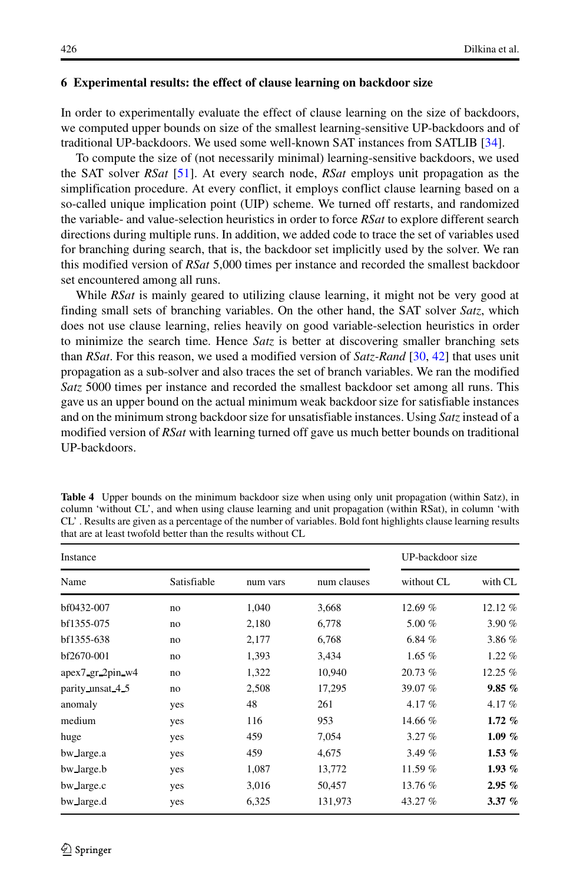## <span id="page-27-0"></span>**6 Experimental results: the effect of clause learning on backdoor size**

In order to experimentally evaluate the effect of clause learning on the size of backdoors, we computed upper bounds on size of the smallest learning-sensitive UP-backdoors and of traditional UP-backdoors. We used some well-known SAT instances from SATLIB [\[34\]](#page-31-27).

To compute the size of (not necessarily minimal) learning-sensitive backdoors, we used the SAT solver *RSat* [\[51\]](#page-32-11). At every search node, *RSat* employs unit propagation as the simplification procedure. At every conflict, it employs conflict clause learning based on a so-called unique implication point (UIP) scheme. We turned off restarts, and randomized the variable- and value-selection heuristics in order to force *RSat* to explore different search directions during multiple runs. In addition, we added code to trace the set of variables used for branching during search, that is, the backdoor set implicitly used by the solver. We ran this modified version of *RSat* 5,000 times per instance and recorded the smallest backdoor set encountered among all runs.

While *RSat* is mainly geared to utilizing clause learning, it might not be very good at finding small sets of branching variables. On the other hand, the SAT solver *Satz*, which does not use clause learning, relies heavily on good variable-selection heuristics in order to minimize the search time. Hence *Satz* is better at discovering smaller branching sets than *RSat*. For this reason, we used a modified version of *Satz-Rand* [\[30,](#page-31-22) [42\]](#page-32-17) that uses unit propagation as a sub-solver and also traces the set of branch variables. We ran the modified *Satz* 5000 times per instance and recorded the smallest backdoor set among all runs. This gave us an upper bound on the actual minimum weak backdoor size for satisfiable instances and on the minimum strong backdoor size for unsatisfiable instances. Using *Satz*instead of a modified version of *RSat* with learning turned off gave us much better bounds on traditional UP-backdoors.

| Instance         | UP-backdoor size |          |             |            |           |
|------------------|------------------|----------|-------------|------------|-----------|
| Name             | Satisfiable      | num vars | num clauses | without CL | with CL   |
| bf0432-007       | no               | 1,040    | 3,668       | 12.69 %    | 12.12%    |
| bf1355-075       | no               | 2,180    | 6,778       | 5.00 $%$   | 3.90%     |
| bf1355-638       | no               | 2,177    | 6,768       | 6.84%      | 3.86 %    |
| bf2670-001       | no               | 1,393    | 3,434       | $1.65\%$   | 1.22%     |
| apex7_gr_2pin_w4 | no               | 1,322    | 10,940      | 20.73 %    | 12.25 %   |
| parity unsat 4.5 | no               | 2,508    | 17,295      | 39.07 %    | 9.85%     |
| anomaly          | yes              | 48       | 261         | 4.17%      | 4.17%     |
| medium           | yes              | 116      | 953         | 14.66 %    | $1.72\%$  |
| huge             | yes              | 459      | 7,054       | 3.27%      | $1.09\%$  |
| bw_large.a       | yes              | 459      | 4,675       | 3.49 %     | 1.53 $%$  |
| bw large.b       | yes              | 1,087    | 13,772      | 11.59 %    | $1.93\%$  |
| bw_large.c       | yes              | 3,016    | 50,457      | 13.76 %    | 2.95%     |
| bw_large.d       | yes              | 6,325    | 131,973     | 43.27 %    | $3.37 \%$ |

<span id="page-27-1"></span>**Table 4** Upper bounds on the minimum backdoor size when using only unit propagation (within Satz), in column 'without CL', and when using clause learning and unit propagation (within RSat), in column 'with CL' . Results are given as a percentage of the number of variables. Bold font highlights clause learning results that are at least twofold better than the results without CL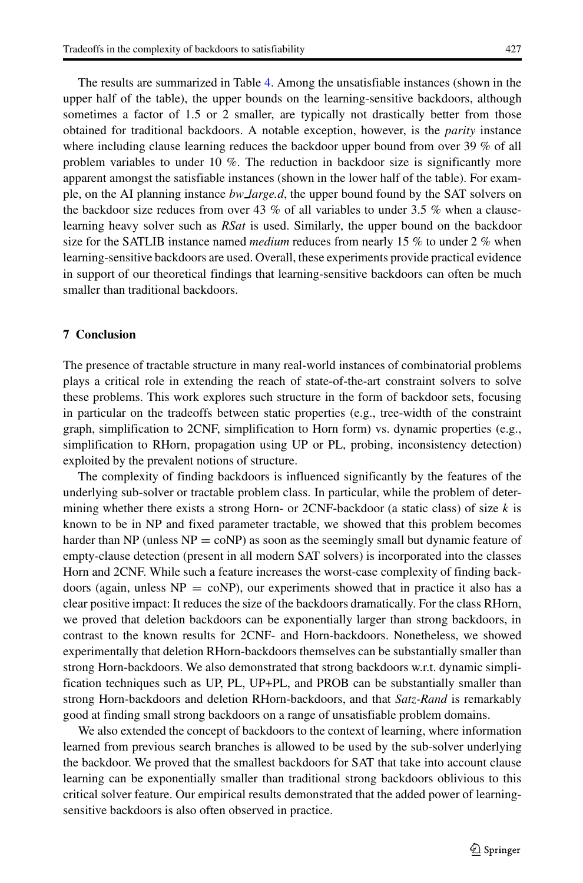The results are summarized in Table [4.](#page-27-1) Among the unsatisfiable instances (shown in the upper half of the table), the upper bounds on the learning-sensitive backdoors, although sometimes a factor of 1.5 or 2 smaller, are typically not drastically better from those obtained for traditional backdoors. A notable exception, however, is the *parity* instance where including clause learning reduces the backdoor upper bound from over 39 % of all problem variables to under 10 %. The reduction in backdoor size is significantly more apparent amongst the satisfiable instances (shown in the lower half of the table). For example, on the AI planning instance *bw large.d*, the upper bound found by the SAT solvers on the backdoor size reduces from over 43 % of all variables to under 3.5 % when a clauselearning heavy solver such as *RSat* is used. Similarly, the upper bound on the backdoor size for the SATLIB instance named *medium* reduces from nearly 15 % to under 2 % when learning-sensitive backdoors are used. Overall, these experiments provide practical evidence in support of our theoretical findings that learning-sensitive backdoors can often be much smaller than traditional backdoors.

# <span id="page-28-0"></span>**7 Conclusion**

The presence of tractable structure in many real-world instances of combinatorial problems plays a critical role in extending the reach of state-of-the-art constraint solvers to solve these problems. This work explores such structure in the form of backdoor sets, focusing in particular on the tradeoffs between static properties (e.g., tree-width of the constraint graph, simplification to 2CNF, simplification to Horn form) vs. dynamic properties (e.g., simplification to RHorn, propagation using UP or PL, probing, inconsistency detection) exploited by the prevalent notions of structure.

The complexity of finding backdoors is influenced significantly by the features of the underlying sub-solver or tractable problem class. In particular, while the problem of determining whether there exists a strong Horn- or 2CNF-backdoor (a static class) of size  $k$  is known to be in NP and fixed parameter tractable, we showed that this problem becomes harder than NP (unless  $NP = \text{coNP}$ ) as soon as the seemingly small but dynamic feature of empty-clause detection (present in all modern SAT solvers) is incorporated into the classes Horn and 2CNF. While such a feature increases the worst-case complexity of finding backdoors (again, unless  $NP = \text{coNP}$ ), our experiments showed that in practice it also has a clear positive impact: It reduces the size of the backdoors dramatically. For the class RHorn, we proved that deletion backdoors can be exponentially larger than strong backdoors, in contrast to the known results for 2CNF- and Horn-backdoors. Nonetheless, we showed experimentally that deletion RHorn-backdoors themselves can be substantially smaller than strong Horn-backdoors. We also demonstrated that strong backdoors w.r.t. dynamic simplification techniques such as UP, PL, UP+PL, and PROB can be substantially smaller than strong Horn-backdoors and deletion RHorn-backdoors, and that *Satz-Rand* is remarkably good at finding small strong backdoors on a range of unsatisfiable problem domains.

We also extended the concept of backdoors to the context of learning, where information learned from previous search branches is allowed to be used by the sub-solver underlying the backdoor. We proved that the smallest backdoors for SAT that take into account clause learning can be exponentially smaller than traditional strong backdoors oblivious to this critical solver feature. Our empirical results demonstrated that the added power of learningsensitive backdoors is also often observed in practice.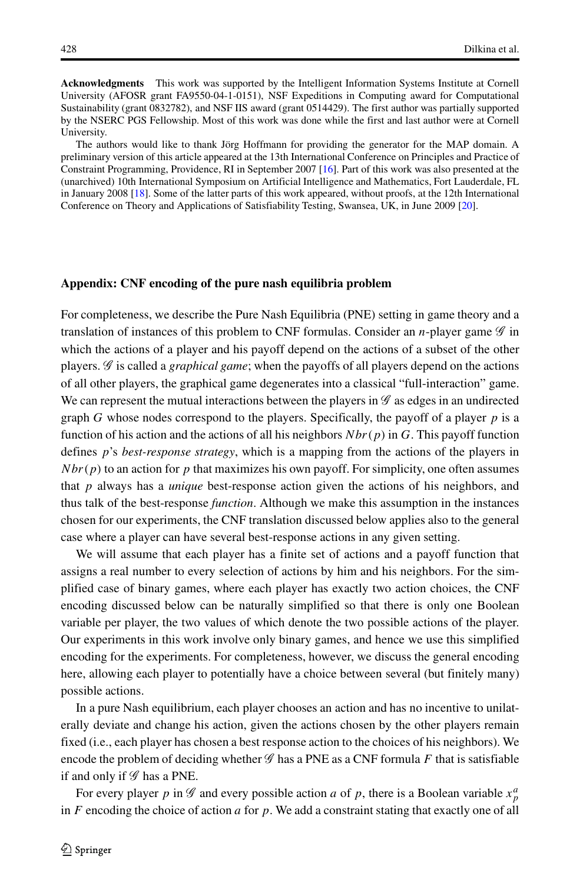**Acknowledgments** This work was supported by the Intelligent Information Systems Institute at Cornell University (AFOSR grant FA9550-04-1-0151), NSF Expeditions in Computing award for Computational Sustainability (grant 0832782), and NSF IIS award (grant 0514429). The first author was partially supported by the NSERC PGS Fellowship. Most of this work was done while the first and last author were at Cornell University.

The authors would like to thank Jörg Hoffmann for providing the generator for the MAP domain. A preliminary version of this article appeared at the 13th International Conference on Principles and Practice of Constraint Programming, Providence, RI in September 2007 [\[16\]](#page-31-28). Part of this work was also presented at the (unarchived) 10th International Symposium on Artificial Intelligence and Mathematics, Fort Lauderdale, FL in January 2008 [\[18\]](#page-31-29). Some of the latter parts of this work appeared, without proofs, at the 12th International Conference on Theory and Applications of Satisfiability Testing, Swansea, UK, in June 2009 [\[20\]](#page-31-30).

#### **Appendix: CNF encoding of the pure nash equilibria problem**

For completeness, we describe the Pure Nash Equilibria (PNE) setting in game theory and a translation of instances of this problem to CNF formulas. Consider an n-player game *<sup>G</sup>* in which the actions of a player and his payoff depend on the actions of a subset of the other players. *G* is called a *graphical game*; when the payoffs of all players depend on the actions of all other players, the graphical game degenerates into a classical "full-interaction" game. We can represent the mutual interactions between the players in  $\mathscr G$  as edges in an undirected graph G whose nodes correspond to the players. Specifically, the payoff of a player  $p$  is a function of his action and the actions of all his neighbors  $Nbr(p)$  in G. This payoff function defines p's *best-response strategy*, which is a mapping from the actions of the players in  $Nbr(p)$  to an action for p that maximizes his own payoff. For simplicity, one often assumes that p always has a *unique* best-response action given the actions of his neighbors, and thus talk of the best-response *function*. Although we make this assumption in the instances chosen for our experiments, the CNF translation discussed below applies also to the general case where a player can have several best-response actions in any given setting.

We will assume that each player has a finite set of actions and a payoff function that assigns a real number to every selection of actions by him and his neighbors. For the simplified case of binary games, where each player has exactly two action choices, the CNF encoding discussed below can be naturally simplified so that there is only one Boolean variable per player, the two values of which denote the two possible actions of the player. Our experiments in this work involve only binary games, and hence we use this simplified encoding for the experiments. For completeness, however, we discuss the general encoding here, allowing each player to potentially have a choice between several (but finitely many) possible actions.

In a pure Nash equilibrium, each player chooses an action and has no incentive to unilaterally deviate and change his action, given the actions chosen by the other players remain fixed (i.e., each player has chosen a best response action to the choices of his neighbors). We encode the problem of deciding whether  $\mathscr G$  has a PNE as a CNF formula F that is satisfiable if and only if *G* has a PNE.

For every player p in  $\mathscr G$  and every possible action a of p, there is a Boolean variable  $x_n^a$ in F encoding the choice of action a for p. We add a constraint stating that exactly one of all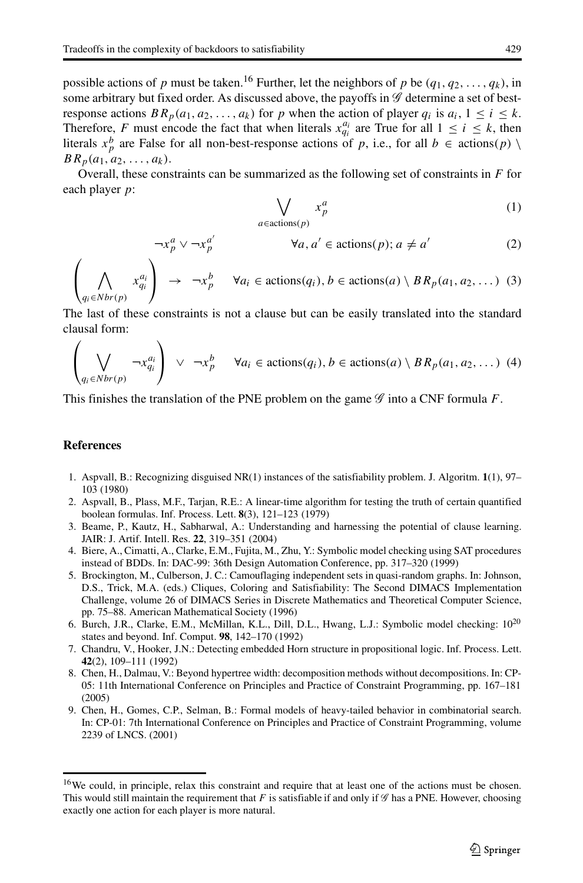$\neg x_p^a \lor \neg x_p^{a'}$ 

possible actions of p must be taken.<sup>[16](#page-30-9)</sup> Further, let the neighbors of p be  $(q_1, q_2, \ldots, q_k)$ , in some arbitrary but fixed order. As discussed above, the payoffs in *G* determine a set of bestresponse actions  $BR_p(a_1, a_2, ..., a_k)$  for p when the action of player  $q_i$  is  $a_i$ ,  $1 \le i \le k$ . Therefore, F must encode the fact that when literals  $x_{qi}^{u_i}$  are True for all  $1 \le i \le k$ , then literals  $x^b$  are False for all non-best-response actions of n i.e. for all  $b \in \text{action}(n)$ literals  $x_p^b$  are False for all non-best-response actions of p, i.e., for all  $b \in \text{actions}(p) \setminus BR_{-}(a_1, a_2, \ldots, a_k)$  $BR_p(a_1, a_2, \ldots, a_k).$ 

Overall, these constraints can be summarized as the following set of constraints in  $F$  for each player <sup>p</sup>:

$$
\bigvee_{a \in \text{actions}(p)} x_p^a \tag{1}
$$

$$
\forall a, a' \in \text{actions}(p); a \neq a'
$$
 (2)

$$
\left(\bigwedge_{q_i \in Nbr(p)} x_{q_i}^{a_i}\right) \rightarrow \neg x_p^b \quad \forall a_i \in \text{actions}(q_i), b \in \text{actions}(a) \setminus BR_p(a_1, a_2, \dots)
$$
 (3)

The last of these constraints is not a clause but can be easily translated into the standard clausal form:

$$
\left(\bigvee_{q_i \in Nbr(p)} \neg x_{q_i}^{a_i}\right) \vee \neg x_p^b \quad \forall a_i \in \text{actions}(q_i), b \in \text{actions}(a) \setminus BR_p(a_1, a_2, \dots)
$$
 (4)

This finishes the translation of the PNE problem on the game *<sup>G</sup>* into a CNF formula F.

# **References**

- <span id="page-30-7"></span>1. Aspvall, B.: Recognizing disguised NR(1) instances of the satisfiability problem. J. Algoritm. **1**(1), 97– 103 (1980)
- <span id="page-30-6"></span>2. Aspvall, B., Plass, M.F., Tarjan, R.E.: A linear-time algorithm for testing the truth of certain quantified boolean formulas. Inf. Process. Lett. **8**(3), 121–123 (1979)
- <span id="page-30-5"></span>3. Beame, P., Kautz, H., Sabharwal, A.: Understanding and harnessing the potential of clause learning. JAIR: J. Artif. Intell. Res. **22**, 319–351 (2004)
- <span id="page-30-0"></span>4. Biere, A., Cimatti, A., Clarke, E.M., Fujita, M., Zhu, Y.: Symbolic model checking using SAT procedures instead of BDDs. In: DAC-99: 36th Design Automation Conference, pp. 317–320 (1999)
- <span id="page-30-8"></span>5. Brockington, M., Culberson, J. C.: Camouflaging independent sets in quasi-random graphs. In: Johnson, D.S., Trick, M.A. (eds.) Cliques, Coloring and Satisfiability: The Second DIMACS Implementation Challenge, volume 26 of DIMACS Series in Discrete Mathematics and Theoretical Computer Science, pp. 75–88. American Mathematical Society (1996)
- <span id="page-30-1"></span>6. Burch, J.R., Clarke, E.M., McMillan, K.L., Dill, D.L., Hwang, L.J.: Symbolic model checking: 1020 states and beyond. Inf. Comput. **98**, 142–170 (1992)
- <span id="page-30-4"></span>7. Chandru, V., Hooker, J.N.: Detecting embedded Horn structure in propositional logic. Inf. Process. Lett. **42**(2), 109–111 (1992)
- <span id="page-30-2"></span>8. Chen, H., Dalmau, V.: Beyond hypertree width: decomposition methods without decompositions. In: CP-05: 11th International Conference on Principles and Practice of Constraint Programming, pp. 167–181 (2005)
- <span id="page-30-3"></span>9. Chen, H., Gomes, C.P., Selman, B.: Formal models of heavy-tailed behavior in combinatorial search. In: CP-01: 7th International Conference on Principles and Practice of Constraint Programming, volume 2239 of LNCS. (2001)

<span id="page-30-9"></span><sup>&</sup>lt;sup>16</sup>We could, in principle, relax this constraint and require that at least one of the actions must be chosen. This would still maintain the requirement that F is satisfiable if and only if  $\mathscr G$  has a PNE. However, choosing exactly one action for each player is more natural.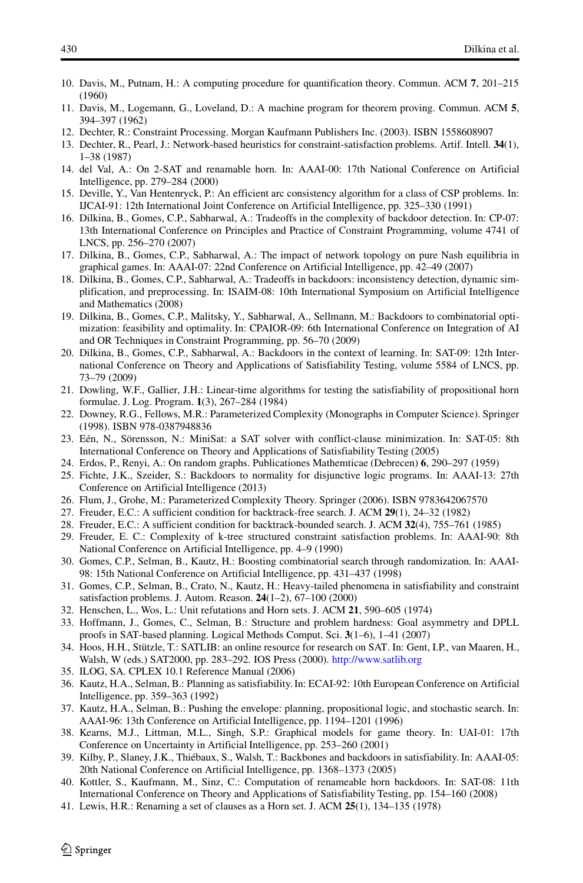- <span id="page-31-7"></span>10. Davis, M., Putnam, H.: A computing procedure for quantification theory. Commun. ACM **7**, 201–215 (1960)
- <span id="page-31-8"></span>11. Davis, M., Logemann, G., Loveland, D.: A machine program for theorem proving. Commun. ACM **5**, 394–397 (1962)
- <span id="page-31-2"></span>12. Dechter, R.: Constraint Processing. Morgan Kaufmann Publishers Inc. (2003). ISBN 1558608907
- <span id="page-31-3"></span>13. Dechter, R., Pearl, J.: Network-based heuristics for constraint-satisfaction problems. Artif. Intell. **34**(1), 1–38 (1987)
- <span id="page-31-13"></span>14. del Val, A.: On 2-SAT and renamable horn. In: AAAI-00: 17th National Conference on Artificial Intelligence, pp. 279–284 (2000)
- <span id="page-31-6"></span>15. Deville, Y., Van Hentenryck, P.: An efficient arc consistency algorithm for a class of CSP problems. In: IJCAI-91: 12th International Joint Conference on Artificial Intelligence, pp. 325–330 (1991)
- <span id="page-31-28"></span>16. Dilkina, B., Gomes, C.P., Sabharwal, A.: Tradeoffs in the complexity of backdoor detection. In: CP-07: 13th International Conference on Principles and Practice of Constraint Programming, volume 4741 of LNCS, pp. 256–270 (2007)
- <span id="page-31-24"></span>17. Dilkina, B., Gomes, C.P., Sabharwal, A.: The impact of network topology on pure Nash equilibria in graphical games. In: AAAI-07: 22nd Conference on Artificial Intelligence, pp. 42–49 (2007)
- <span id="page-31-29"></span>18. Dilkina, B., Gomes, C.P., Sabharwal, A.: Tradeoffs in backdoors: inconsistency detection, dynamic simplification, and preprocessing. In: ISAIM-08: 10th International Symposium on Artificial Intelligence and Mathematics (2008)
- <span id="page-31-9"></span>19. Dilkina, B., Gomes, C.P., Malitsky, Y., Sabharwal, A., Sellmann, M.: Backdoors to combinatorial optimization: feasibility and optimality. In: CPAIOR-09: 6th International Conference on Integration of AI and OR Techniques in Constraint Programming, pp. 56–70 (2009)
- <span id="page-31-30"></span>20. Dilkina, B., Gomes, C.P., Sabharwal, A.: Backdoors in the context of learning. In: SAT-09: 12th International Conference on Theory and Applications of Satisfiability Testing, volume 5584 of LNCS, pp. 73–79 (2009)
- <span id="page-31-14"></span>21. Dowling, W.F., Gallier, J.H.: Linear-time algorithms for testing the satisfiability of propositional horn formulae. J. Log. Program. **1**(3), 267–284 (1984)
- <span id="page-31-18"></span>22. Downey, R.G., Fellows, M.R.: Parameterized Complexity (Monographs in Computer Science). Springer (1998). ISBN 978-0387948836
- <span id="page-31-12"></span>23. Eén, N., Sörensson, N.: MiniSat: a SAT solver with conflict-clause minimization. In: SAT-05: 8th International Conference on Theory and Applications of Satisfiability Testing (2005)
- <span id="page-31-26"></span>24. Erdos, P., Renyi, A.: On random graphs. Publicationes Mathemticae (Debrecen) **6**, 290–297 (1959)
- <span id="page-31-10"></span>25. Fichte, J.K., Szeider, S.: Backdoors to normality for disjunctive logic programs. In: AAAI-13: 27th Conference on Artificial Intelligence (2013)
- <span id="page-31-19"></span>26. Flum, J., Grohe, M.: Parameterized Complexity Theory. Springer (2006). ISBN 9783642067570
- <span id="page-31-4"></span>27. Freuder, E.C.: A sufficient condition for backtrack-free search. J. ACM **29**(1), 24–32 (1982)
- 28. Freuder, E.C.: A sufficient condition for backtrack-bounded search. J. ACM **32**(4), 755–761 (1985)
- <span id="page-31-5"></span>29. Freuder, E. C.: Complexity of k-tree structured constraint satisfaction problems. In: AAAI-90: 8th National Conference on Artificial Intelligence, pp. 4–9 (1990)
- <span id="page-31-22"></span>30. Gomes, C.P., Selman, B., Kautz, H.: Boosting combinatorial search through randomization. In: AAAI-98: 15th National Conference on Artificial Intelligence, pp. 431–437 (1998)
- <span id="page-31-11"></span>31. Gomes, C.P., Selman, B., Crato, N., Kautz, H.: Heavy-tailed phenomena in satisfiability and constraint satisfaction problems. J. Autom. Reason. **24**(1–2), 67–100 (2000)
- <span id="page-31-15"></span>32. Henschen, L., Wos, L.: Unit refutations and Horn sets. J. ACM **21**, 590–605 (1974)
- <span id="page-31-23"></span>33. Hoffmann, J., Gomes, C., Selman, B.: Structure and problem hardness: Goal asymmetry and DPLL proofs in SAT-based planning. Logical Methods Comput. Sci. **3**(1–6), 1–41 (2007)
- <span id="page-31-27"></span>34. Hoos, H.H., Stützle, T.: SATLIB: an online resource for research on SAT. In: Gent, I.P., van Maaren, H., Walsh, W (eds.) SAT2000, pp. 283–292. IOS Press (2000). <http://www.satlib.org>
- <span id="page-31-21"></span>35. ILOG, SA. CPLEX 10.1 Reference Manual (2006)
- <span id="page-31-0"></span>36. Kautz, H.A., Selman, B.: Planning as satisfiability. In: ECAI-92: 10th European Conference on Artificial Intelligence, pp. 359–363 (1992)
- <span id="page-31-1"></span>37. Kautz, H.A., Selman, B.: Pushing the envelope: planning, propositional logic, and stochastic search. In: AAAI-96: 13th Conference on Artificial Intelligence, pp. 1194–1201 (1996)
- <span id="page-31-25"></span>38. Kearns, M.J., Littman, M.L., Singh, S.P.: Graphical models for game theory. In: UAI-01: 17th Conference on Uncertainty in Artificial Intelligence, pp. 253–260 (2001)
- <span id="page-31-17"></span>39. Kilby, P., Slaney, J.K., Thi´ebaux, S., Walsh, T.: Backbones and backdoors in satisfiability. In: AAAI-05: 20th National Conference on Artificial Intelligence, pp. 1368–1373 (2005)
- <span id="page-31-20"></span>40. Kottler, S., Kaufmann, M., Sinz, C.: Computation of renameable horn backdoors. In: SAT-08: 11th International Conference on Theory and Applications of Satisfiability Testing, pp. 154–160 (2008)
- <span id="page-31-16"></span>41. Lewis, H.R.: Renaming a set of clauses as a Horn set. J. ACM **25**(1), 134–135 (1978)